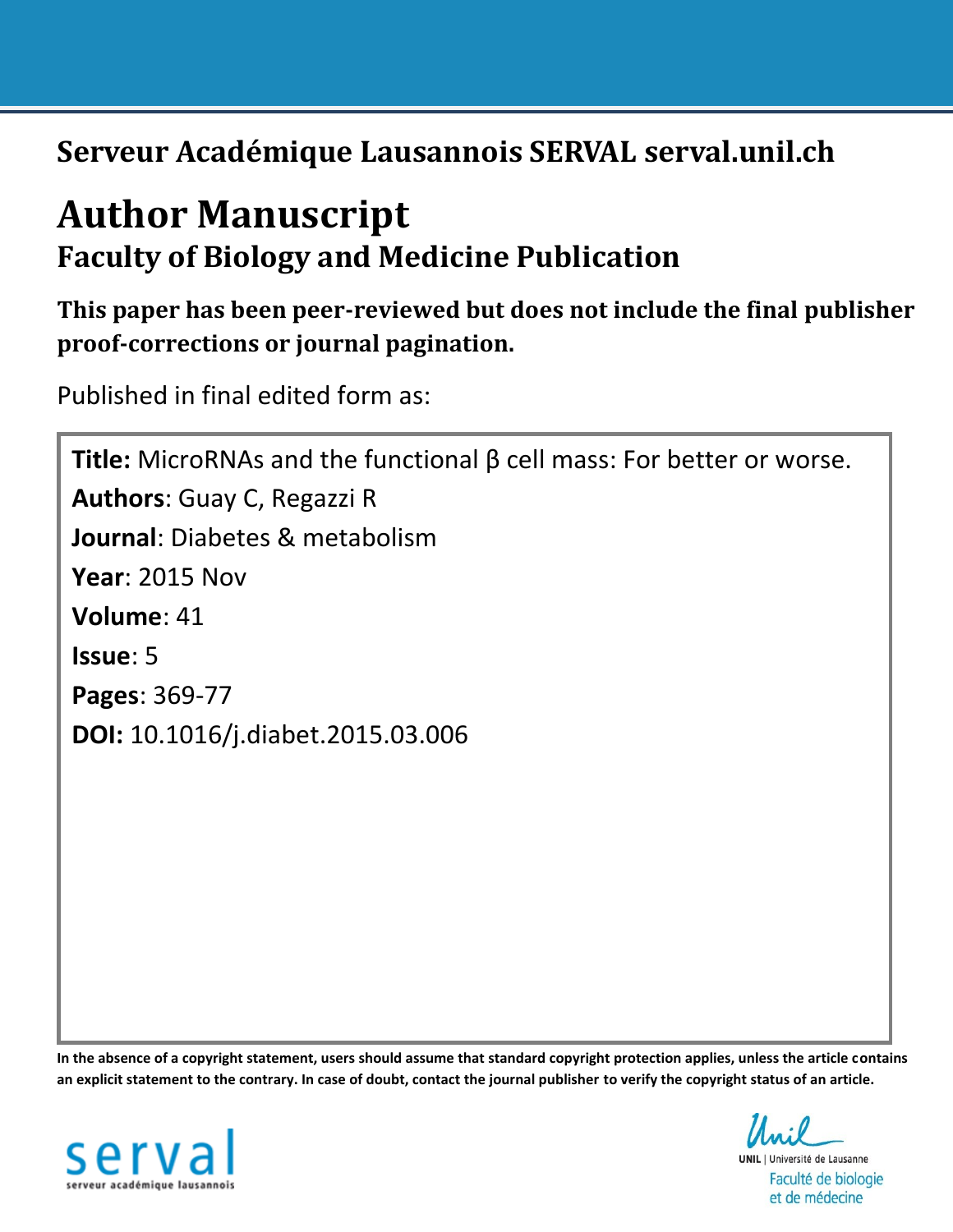**Serveur Académique Lausannois SERVAL serval.unil.ch**

# **Author Manuscript Faculty of Biology and Medicine Publication**

**This paper has been peer-reviewed but does not include the final publisher proof-corrections or journal pagination.** 

Published in final edited form as:

**Title:** MicroRNAs and the functional β cell mass: For better or worse. **Authors**: Guay C, Regazzi R **Journal**: Diabetes & metabolism **Year**: 2015 Nov **Volume**: 41 **Issue**: 5 **Pages**: 369-77 **DOI:** [10.1016/j.diabet.2015.03.006](http://dx.doi.org/10.1016/j.diabet.2015.03.006)

**In the absence of a copyright statement, users should assume that standard copyright protection applies, unless the article contains an explicit statement to the contrary. In case of doubt, contact the journal publisher to verify the copyright status of an article.**



**UNIL** | Université de Lausanne Faculté de biologie et de médecine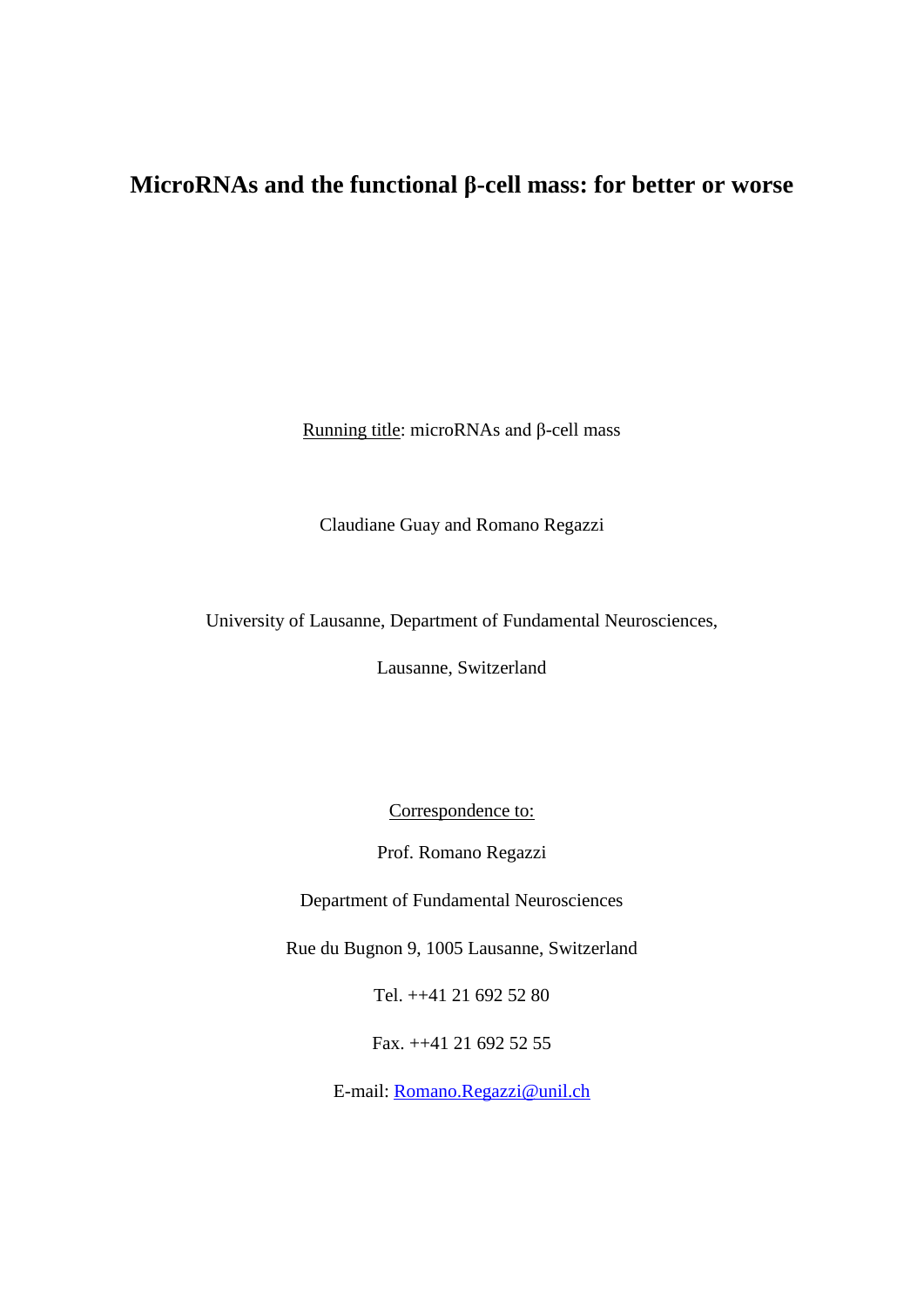# **MicroRNAs and the functional β-cell mass: for better or worse**

Running title: microRNAs and β-cell mass

Claudiane Guay and Romano Regazzi

University of Lausanne, Department of Fundamental Neurosciences,

Lausanne, Switzerland

Correspondence to:

Prof. Romano Regazzi

Department of Fundamental Neurosciences

Rue du Bugnon 9, 1005 Lausanne, Switzerland

Tel. ++41 21 692 52 80

Fax. ++41 21 692 52 55

E-mail: [Romano.Regazzi@unil.ch](mailto:Romano.Regazzi@ibcm.unil.ch)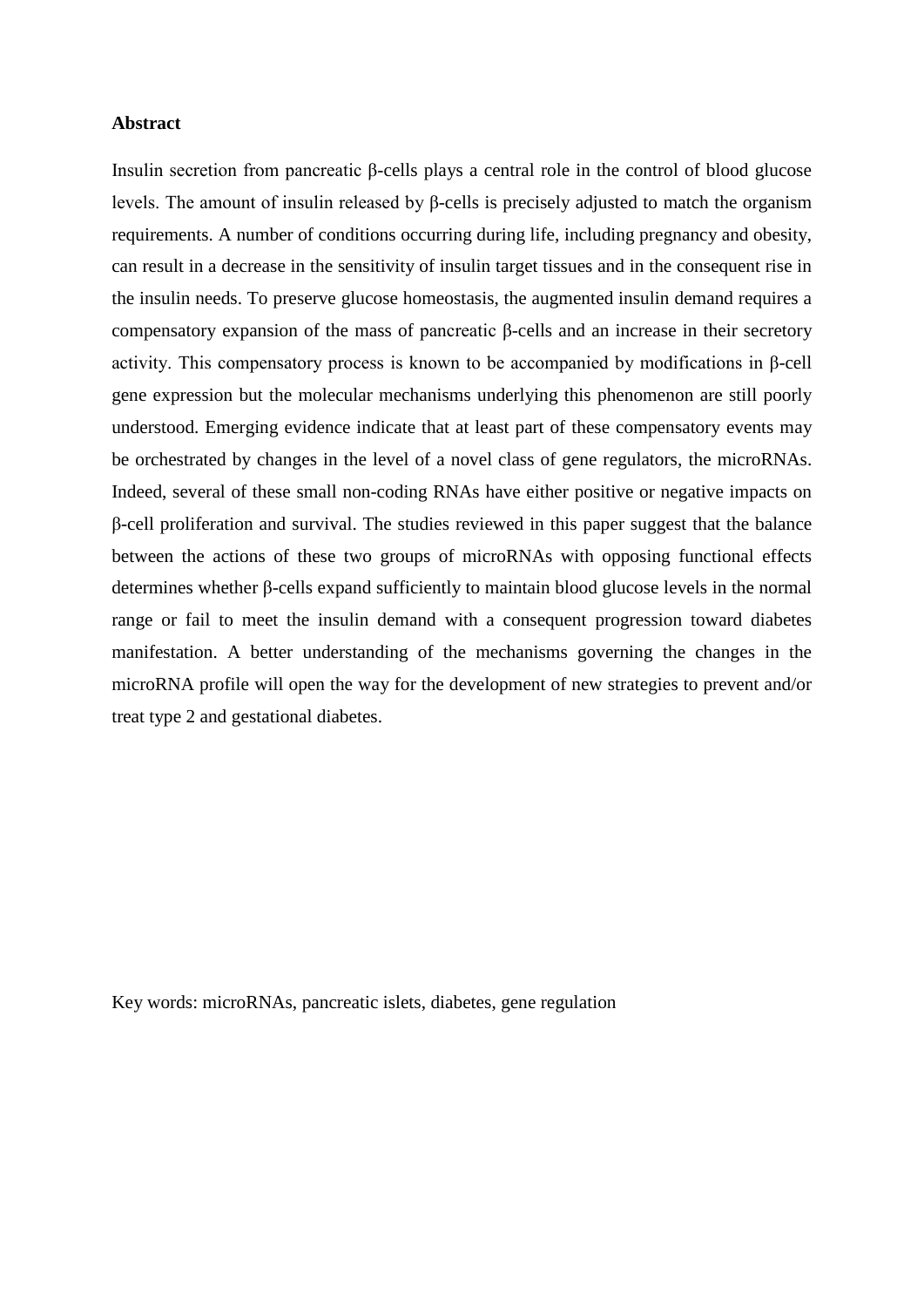#### **Abstract**

Insulin secretion from pancreatic β-cells plays a central role in the control of blood glucose levels. The amount of insulin released by β-cells is precisely adjusted to match the organism requirements. A number of conditions occurring during life, including pregnancy and obesity, can result in a decrease in the sensitivity of insulin target tissues and in the consequent rise in the insulin needs. To preserve glucose homeostasis, the augmented insulin demand requires a compensatory expansion of the mass of pancreatic β-cells and an increase in their secretory activity. This compensatory process is known to be accompanied by modifications in β-cell gene expression but the molecular mechanisms underlying this phenomenon are still poorly understood. Emerging evidence indicate that at least part of these compensatory events may be orchestrated by changes in the level of a novel class of gene regulators, the microRNAs. Indeed, several of these small non-coding RNAs have either positive or negative impacts on β-cell proliferation and survival. The studies reviewed in this paper suggest that the balance between the actions of these two groups of microRNAs with opposing functional effects determines whether β-cells expand sufficiently to maintain blood glucose levels in the normal range or fail to meet the insulin demand with a consequent progression toward diabetes manifestation. A better understanding of the mechanisms governing the changes in the microRNA profile will open the way for the development of new strategies to prevent and/or treat type 2 and gestational diabetes.

Key words: microRNAs, pancreatic islets, diabetes, gene regulation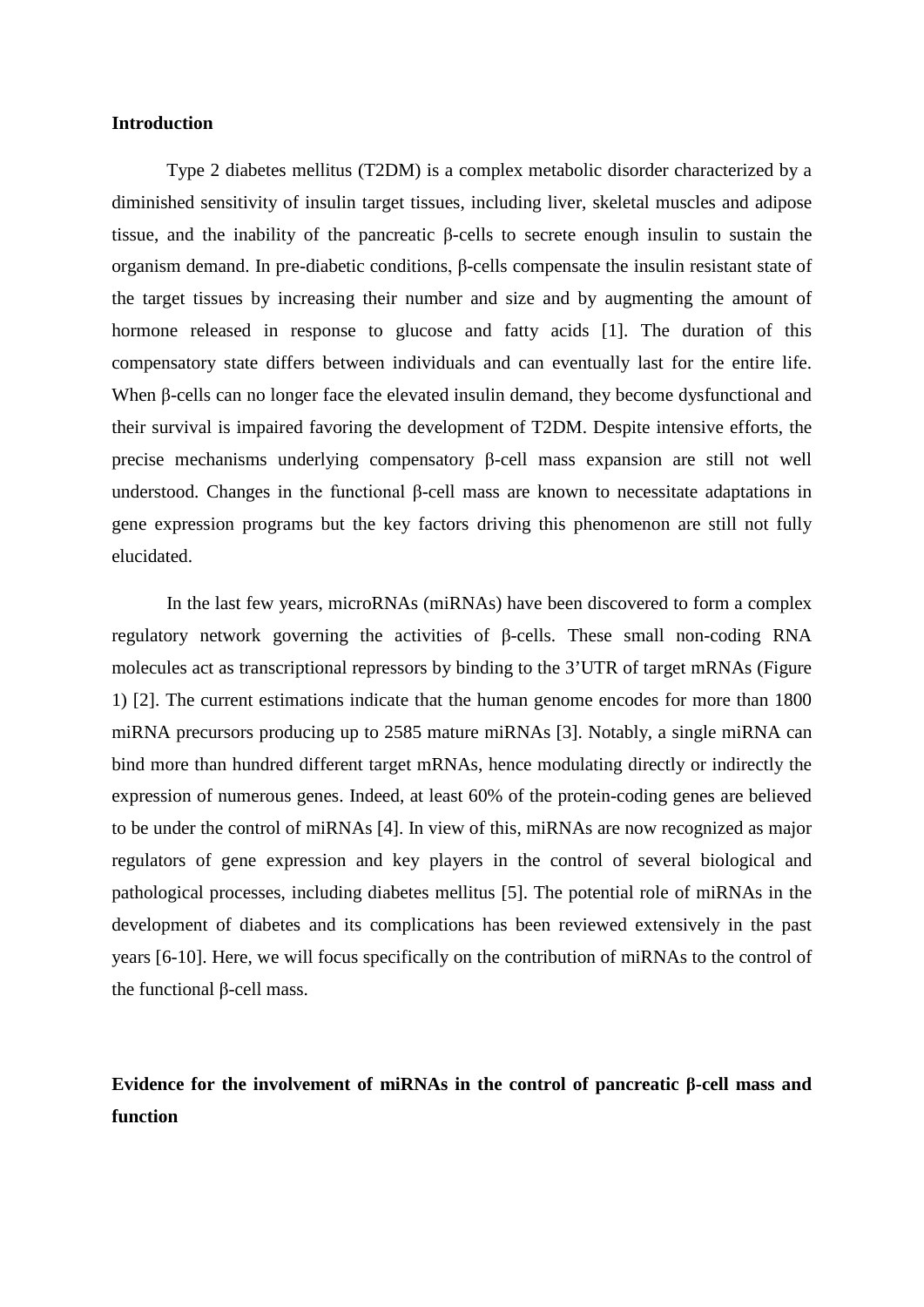#### **Introduction**

Type 2 diabetes mellitus (T2DM) is a complex metabolic disorder characterized by a diminished sensitivity of insulin target tissues, including liver, skeletal muscles and adipose tissue, and the inability of the pancreatic β-cells to secrete enough insulin to sustain the organism demand. In pre-diabetic conditions, β-cells compensate the insulin resistant state of the target tissues by increasing their number and size and by augmenting the amount of hormone released in response to glucose and fatty acids [\[1\]](#page-17-0). The duration of this compensatory state differs between individuals and can eventually last for the entire life. When β-cells can no longer face the elevated insulin demand, they become dysfunctional and their survival is impaired favoring the development of T2DM. Despite intensive efforts, the precise mechanisms underlying compensatory β-cell mass expansion are still not well understood. Changes in the functional β-cell mass are known to necessitate adaptations in gene expression programs but the key factors driving this phenomenon are still not fully elucidated.

In the last few years, microRNAs (miRNAs) have been discovered to form a complex regulatory network governing the activities of β-cells. These small non-coding RNA molecules act as transcriptional repressors by binding to the 3'UTR of target mRNAs (Figure 1) [\[2\]](#page-17-1). The current estimations indicate that the human genome encodes for more than 1800 miRNA precursors producing up to 2585 mature miRNAs [\[3\]](#page-17-2). Notably, a single miRNA can bind more than hundred different target mRNAs, hence modulating directly or indirectly the expression of numerous genes. Indeed, at least 60% of the protein-coding genes are believed to be under the control of miRNAs [\[4\]](#page-17-3). In view of this, miRNAs are now recognized as major regulators of gene expression and key players in the control of several biological and pathological processes, including diabetes mellitus [\[5\]](#page-17-4). The potential role of miRNAs in the development of diabetes and its complications has been reviewed extensively in the past years [\[6-10\]](#page-17-5). Here, we will focus specifically on the contribution of miRNAs to the control of the functional β-cell mass.

## **Evidence for the involvement of miRNAs in the control of pancreatic β-cell mass and function**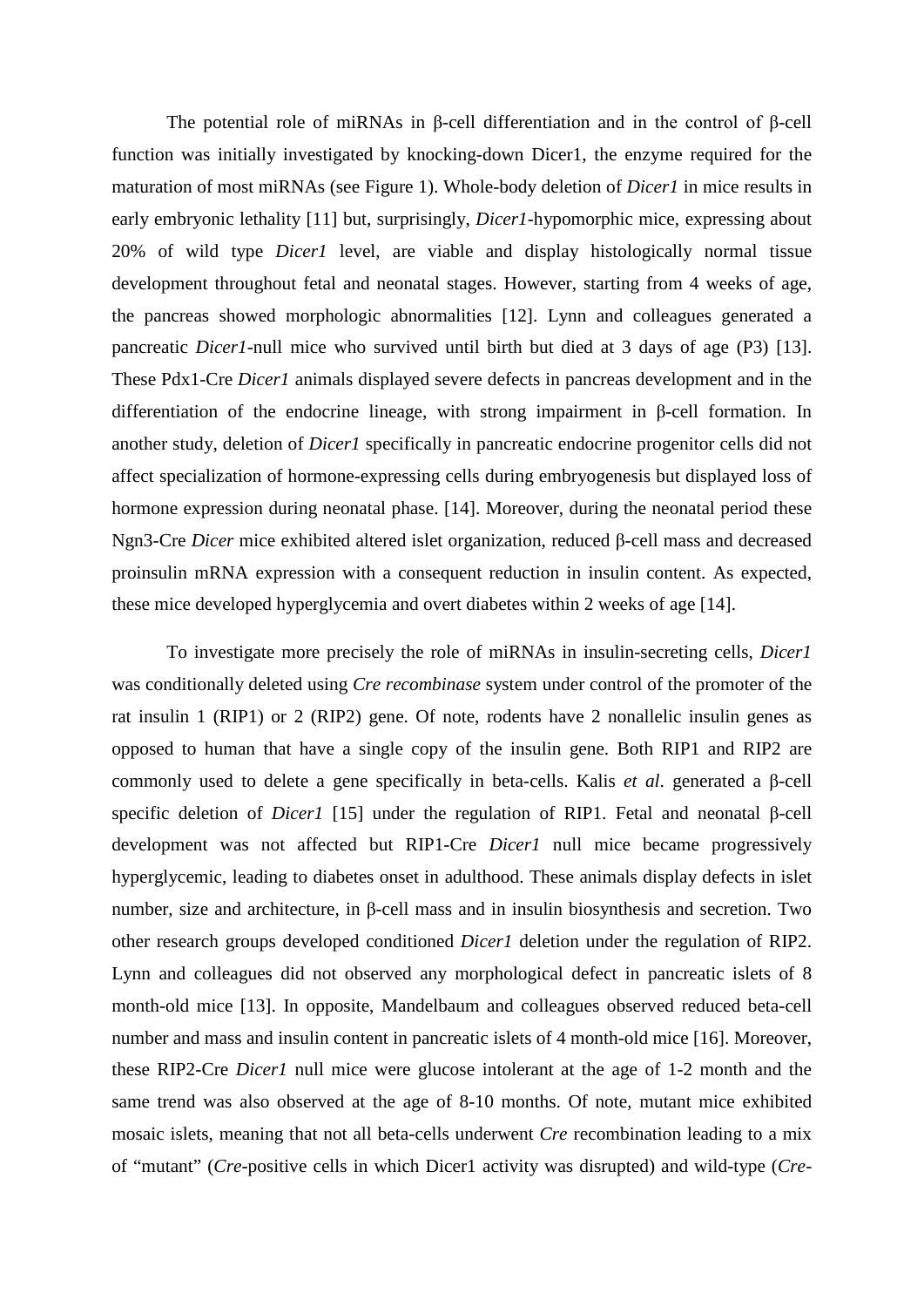The potential role of miRNAs in β-cell differentiation and in the control of β-cell function was initially investigated by knocking-down Dicer1, the enzyme required for the maturation of most miRNAs (see Figure 1). Whole-body deletion of *Dicer1* in mice results in early embryonic lethality [\[11\]](#page-17-6) but, surprisingly, *Dicer1*-hypomorphic mice, expressing about 20% of wild type *Dicer1* level, are viable and display histologically normal tissue development throughout fetal and neonatal stages. However, starting from 4 weeks of age, the pancreas showed morphologic abnormalities [\[12\]](#page-17-7). Lynn and colleagues generated a pancreatic *Dicer1*-null mice who survived until birth but died at 3 days of age (P3) [\[13\]](#page-17-8). These Pdx1-Cre *Dicer1* animals displayed severe defects in pancreas development and in the differentiation of the endocrine lineage, with strong impairment in β-cell formation. In another study, deletion of *Dicer1* specifically in pancreatic endocrine progenitor cells did not affect specialization of hormone-expressing cells during embryogenesis but displayed loss of hormone expression during neonatal phase. [\[14\]](#page-17-9). Moreover, during the neonatal period these Ngn3-Cre *Dicer* mice exhibited altered islet organization, reduced β-cell mass and decreased proinsulin mRNA expression with a consequent reduction in insulin content. As expected, these mice developed hyperglycemia and overt diabetes within 2 weeks of age [\[14\]](#page-17-9).

To investigate more precisely the role of miRNAs in insulin-secreting cells, *Dicer1* was conditionally deleted using *Cre recombinase* system under control of the promoter of the rat insulin 1 (RIP1) or 2 (RIP2) gene. Of note, rodents have 2 nonallelic insulin genes as opposed to human that have a single copy of the insulin gene. Both RIP1 and RIP2 are commonly used to delete a gene specifically in beta-cells. Kalis *et al*. generated a β-cell specific deletion of *Dicer1* [\[15\]](#page-17-10) under the regulation of RIP1. Fetal and neonatal β-cell development was not affected but RIP1-Cre *Dicer1* null mice became progressively hyperglycemic, leading to diabetes onset in adulthood. These animals display defects in islet number, size and architecture, in β-cell mass and in insulin biosynthesis and secretion. Two other research groups developed conditioned *Dicer1* deletion under the regulation of RIP2. Lynn and colleagues did not observed any morphological defect in pancreatic islets of 8 month-old mice [\[13\]](#page-17-8). In opposite, Mandelbaum and colleagues observed reduced beta-cell number and mass and insulin content in pancreatic islets of 4 month-old mice [\[16\]](#page-17-11). Moreover, these RIP2-Cre *Dicer1* null mice were glucose intolerant at the age of 1-2 month and the same trend was also observed at the age of 8-10 months. Of note, mutant mice exhibited mosaic islets, meaning that not all beta-cells underwent *Cre* recombination leading to a mix of "mutant" (*Cre*-positive cells in which Dicer1 activity was disrupted) and wild-type (*Cre*-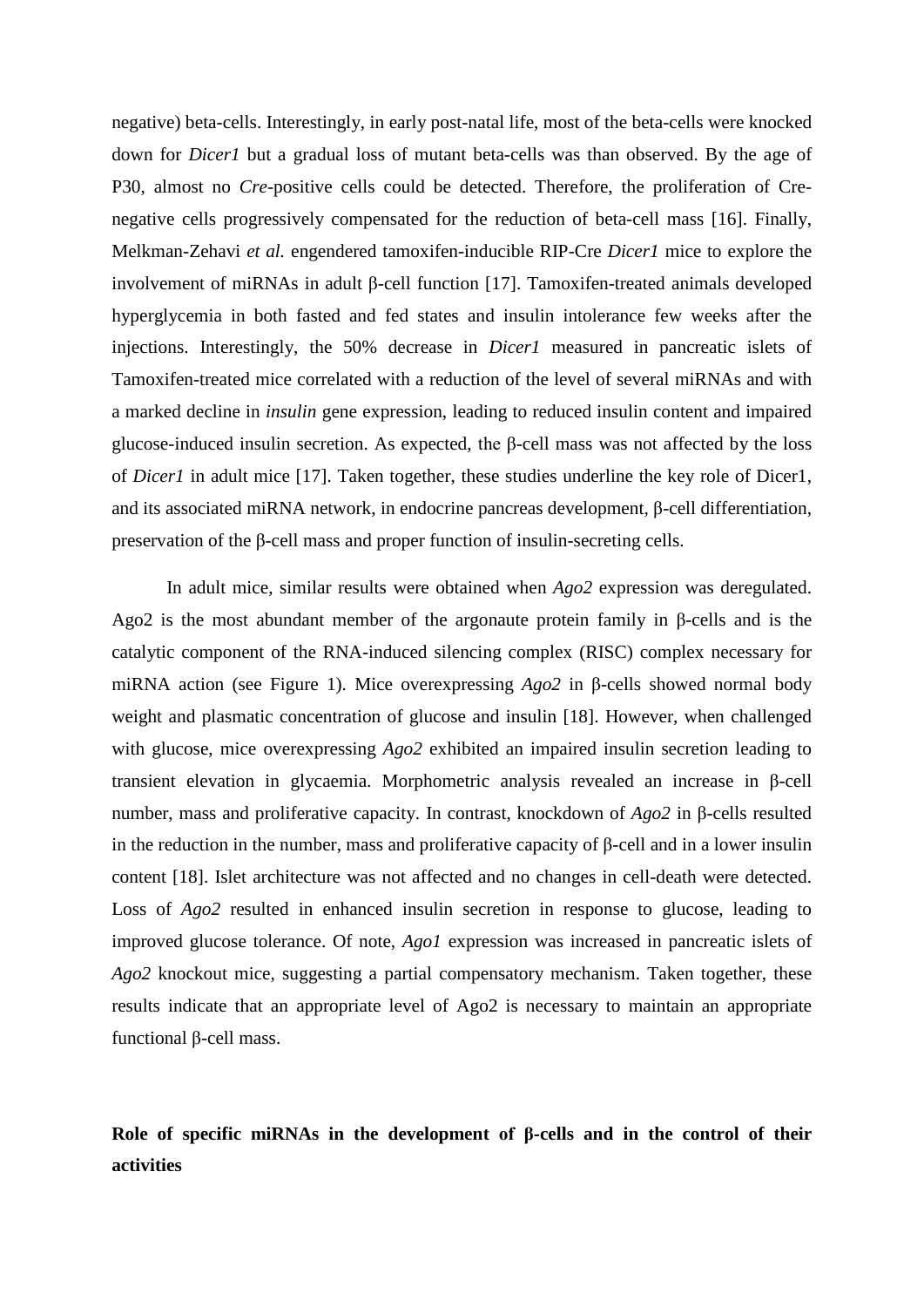negative) beta-cells. Interestingly, in early post-natal life, most of the beta-cells were knocked down for *Dicer1* but a gradual loss of mutant beta-cells was than observed. By the age of P30, almost no *Cre*-positive cells could be detected. Therefore, the proliferation of Crenegative cells progressively compensated for the reduction of beta-cell mass [\[16\]](#page-17-11). Finally, Melkman-Zehavi *et al.* engendered tamoxifen-inducible RIP-Cre *Dicer1* mice to explore the involvement of miRNAs in adult β-cell function [\[17\]](#page-17-12). Tamoxifen-treated animals developed hyperglycemia in both fasted and fed states and insulin intolerance few weeks after the injections. Interestingly, the 50% decrease in *Dicer1* measured in pancreatic islets of Tamoxifen-treated mice correlated with a reduction of the level of several miRNAs and with a marked decline in *insulin* gene expression, leading to reduced insulin content and impaired glucose-induced insulin secretion. As expected, the β-cell mass was not affected by the loss of *Dicer1* in adult mice [\[17\]](#page-17-12). Taken together, these studies underline the key role of Dicer1, and its associated miRNA network, in endocrine pancreas development, β-cell differentiation, preservation of the β-cell mass and proper function of insulin-secreting cells.

In adult mice, similar results were obtained when *Ago2* expression was deregulated. Ago2 is the most abundant member of the argonaute protein family in β-cells and is the catalytic component of the RNA-induced silencing complex (RISC) complex necessary for miRNA action (see Figure 1). Mice overexpressing *Ago2* in β-cells showed normal body weight and plasmatic concentration of glucose and insulin [\[18\]](#page-17-13). However, when challenged with glucose, mice overexpressing *Ago2* exhibited an impaired insulin secretion leading to transient elevation in glycaemia. Morphometric analysis revealed an increase in β-cell number, mass and proliferative capacity. In contrast, knockdown of *Ago2* in β-cells resulted in the reduction in the number, mass and proliferative capacity of β-cell and in a lower insulin content [\[18\]](#page-17-13). Islet architecture was not affected and no changes in cell-death were detected. Loss of *Ago2* resulted in enhanced insulin secretion in response to glucose, leading to improved glucose tolerance. Of note, *Ago1* expression was increased in pancreatic islets of *Ago2* knockout mice, suggesting a partial compensatory mechanism. Taken together, these results indicate that an appropriate level of Ago2 is necessary to maintain an appropriate functional β-cell mass.

# **Role of specific miRNAs in the development of β-cells and in the control of their activities**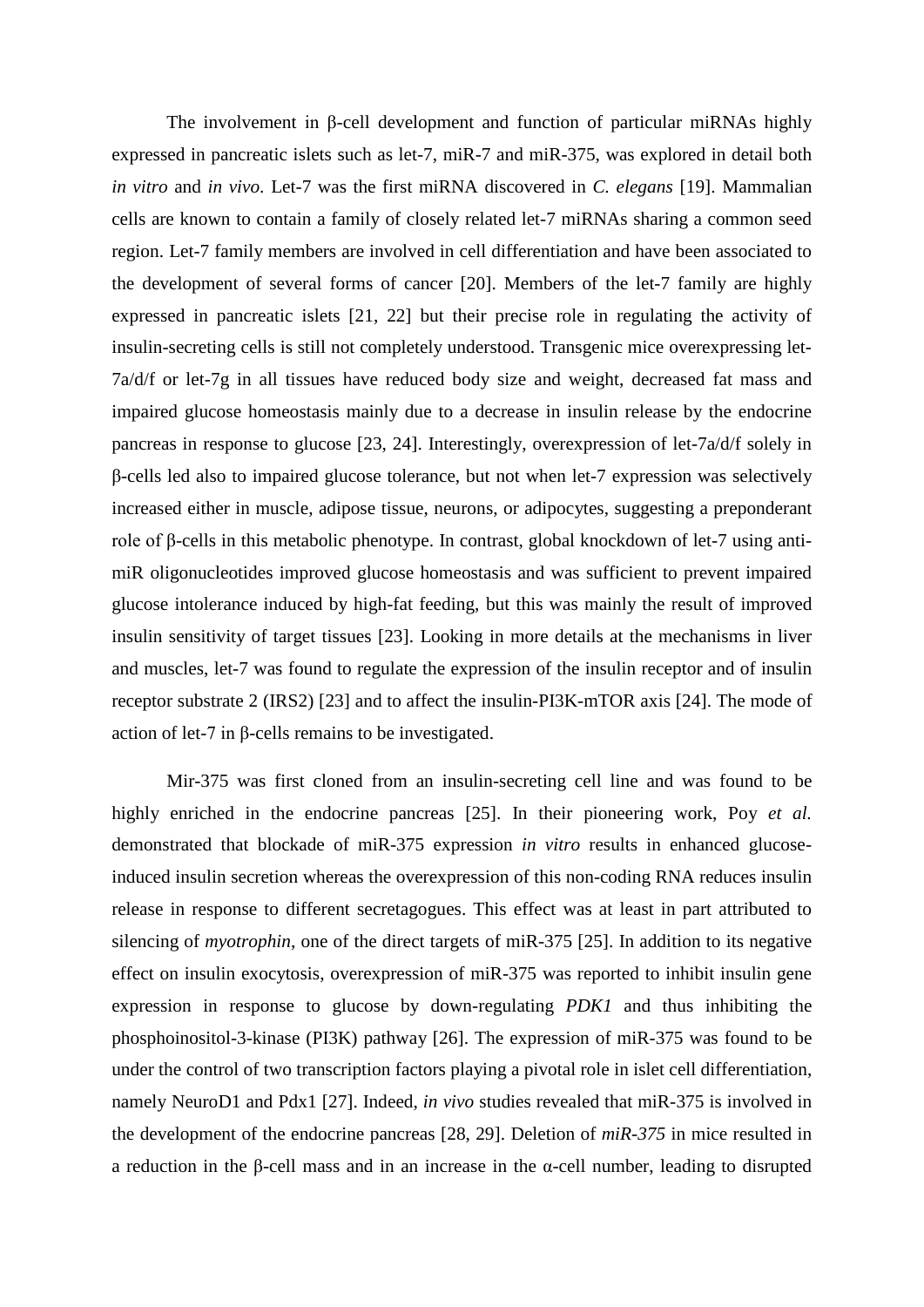The involvement in β-cell development and function of particular miRNAs highly expressed in pancreatic islets such as let-7, miR-7 and miR-375, was explored in detail both *in vitro* and *in vivo*. Let-7 was the first miRNA discovered in *C. elegans* [\[19\]](#page-17-14). Mammalian cells are known to contain a family of closely related let-7 miRNAs sharing a common seed region. Let-7 family members are involved in cell differentiation and have been associated to the development of several forms of cancer [\[20\]](#page-17-15). Members of the let-7 family are highly expressed in pancreatic islets [\[21,](#page-17-16) [22\]](#page-18-0) but their precise role in regulating the activity of insulin-secreting cells is still not completely understood. Transgenic mice overexpressing let-7a/d/f or let-7g in all tissues have reduced body size and weight, decreased fat mass and impaired glucose homeostasis mainly due to a decrease in insulin release by the endocrine pancreas in response to glucose [\[23,](#page-18-1) [24\]](#page-18-2). Interestingly, overexpression of let-7a/d/f solely in β-cells led also to impaired glucose tolerance, but not when let-7 expression was selectively increased either in muscle, adipose tissue, neurons, or adipocytes, suggesting a preponderant role of β-cells in this metabolic phenotype. In contrast, global knockdown of let-7 using antimiR oligonucleotides improved glucose homeostasis and was sufficient to prevent impaired glucose intolerance induced by high-fat feeding, but this was mainly the result of improved insulin sensitivity of target tissues [\[23\]](#page-18-1). Looking in more details at the mechanisms in liver and muscles, let-7 was found to regulate the expression of the insulin receptor and of insulin receptor substrate 2 (IRS2) [\[23\]](#page-18-1) and to affect the insulin-PI3K-mTOR axis [\[24\]](#page-18-2). The mode of action of let-7 in β-cells remains to be investigated.

Mir-375 was first cloned from an insulin-secreting cell line and was found to be highly enriched in the endocrine pancreas [\[25\]](#page-18-3). In their pioneering work, Poy *et al.* demonstrated that blockade of miR-375 expression *in vitro* results in enhanced glucoseinduced insulin secretion whereas the overexpression of this non-coding RNA reduces insulin release in response to different secretagogues. This effect was at least in part attributed to silencing of *myotrophin*, one of the direct targets of miR-375 [\[25\]](#page-18-3). In addition to its negative effect on insulin exocytosis, overexpression of miR-375 was reported to inhibit insulin gene expression in response to glucose by down-regulating *PDK1* and thus inhibiting the phosphoinositol-3-kinase (PI3K) pathway [\[26\]](#page-18-4). The expression of miR-375 was found to be under the control of two transcription factors playing a pivotal role in islet cell differentiation, namely NeuroD1 and Pdx1 [\[27\]](#page-18-5). Indeed, *in vivo* studies revealed that miR-375 is involved in the development of the endocrine pancreas [\[28,](#page-18-6) [29\]](#page-18-7). Deletion of *miR-375* in mice resulted in a reduction in the β-cell mass and in an increase in the α-cell number, leading to disrupted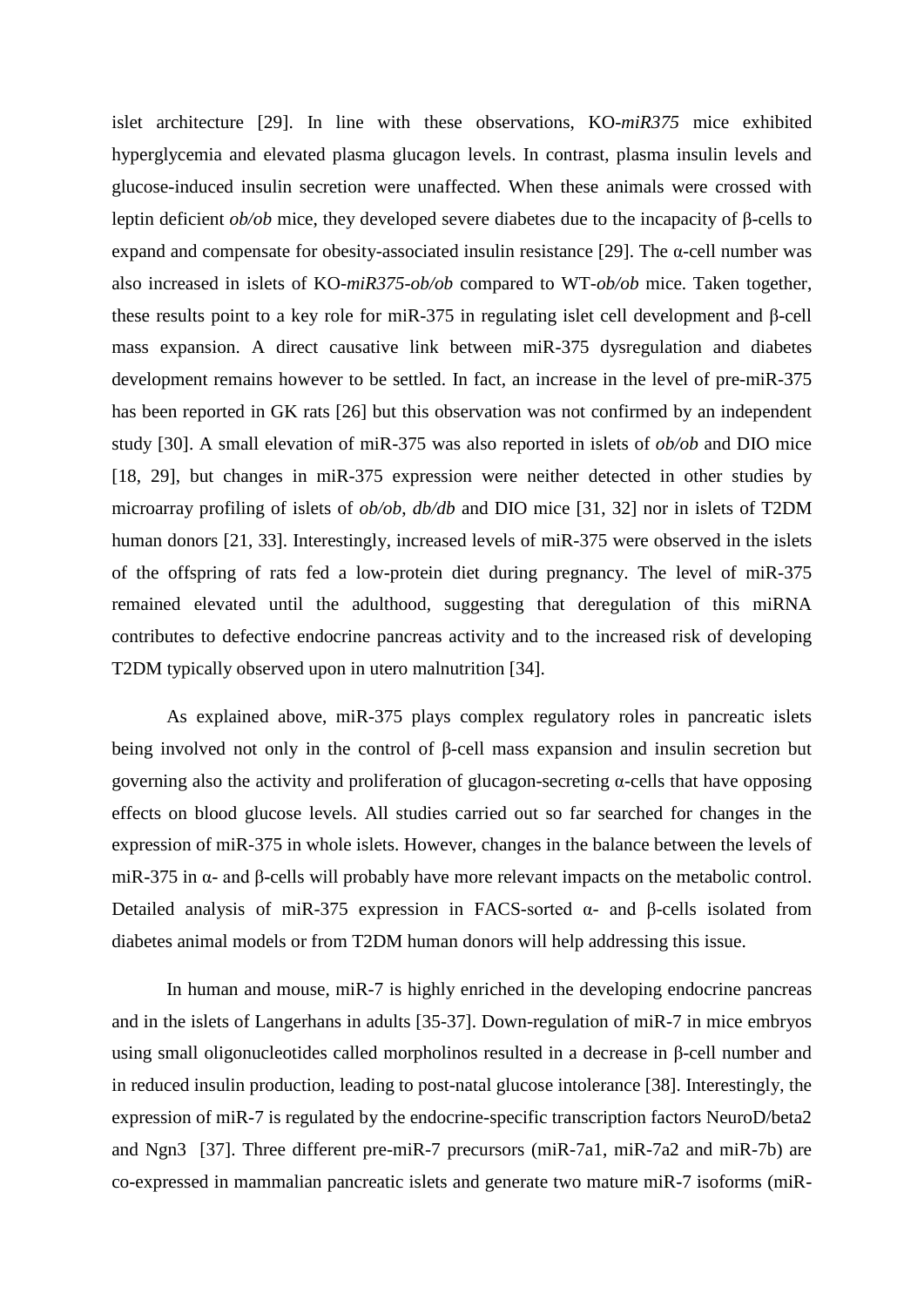islet architecture [\[29\]](#page-18-7). In line with these observations, KO-*miR375* mice exhibited hyperglycemia and elevated plasma glucagon levels. In contrast, plasma insulin levels and glucose-induced insulin secretion were unaffected. When these animals were crossed with leptin deficient *ob/ob* mice, they developed severe diabetes due to the incapacity of β-cells to expand and compensate for obesity-associated insulin resistance [\[29\]](#page-18-7). The α-cell number was also increased in islets of KO-*miR375*-*ob/ob* compared to WT-*ob/ob* mice. Taken together, these results point to a key role for miR-375 in regulating islet cell development and β-cell mass expansion. A direct causative link between miR-375 dysregulation and diabetes development remains however to be settled. In fact, an increase in the level of pre-miR-375 has been reported in GK rats [\[26\]](#page-18-4) but this observation was not confirmed by an independent study [\[30\]](#page-18-8). A small elevation of miR-375 was also reported in islets of *ob/ob* and DIO mice [\[18,](#page-17-13) [29\]](#page-18-7), but changes in miR-375 expression were neither detected in other studies by microarray profiling of islets of *ob/ob*, *db/db* and DIO mice [\[31,](#page-18-9) [32\]](#page-18-10) nor in islets of T2DM human donors [\[21,](#page-17-16) [33\]](#page-18-11). Interestingly, increased levels of miR-375 were observed in the islets of the offspring of rats fed a low-protein diet during pregnancy. The level of miR-375 remained elevated until the adulthood, suggesting that deregulation of this miRNA contributes to defective endocrine pancreas activity and to the increased risk of developing T2DM typically observed upon in utero malnutrition [\[34\]](#page-18-12).

As explained above, miR-375 plays complex regulatory roles in pancreatic islets being involved not only in the control of β-cell mass expansion and insulin secretion but governing also the activity and proliferation of glucagon-secreting α-cells that have opposing effects on blood glucose levels. All studies carried out so far searched for changes in the expression of miR-375 in whole islets. However, changes in the balance between the levels of miR-375 in α- and β-cells will probably have more relevant impacts on the metabolic control. Detailed analysis of miR-375 expression in FACS-sorted  $\alpha$ - and β-cells isolated from diabetes animal models or from T2DM human donors will help addressing this issue.

In human and mouse, miR-7 is highly enriched in the developing endocrine pancreas and in the islets of Langerhans in adults [\[35-37\]](#page-18-13). Down-regulation of miR-7 in mice embryos using small oligonucleotides called morpholinos resulted in a decrease in β-cell number and in reduced insulin production, leading to post-natal glucose intolerance [\[38\]](#page-18-14). Interestingly, the expression of miR-7 is regulated by the endocrine-specific transcription factors NeuroD/beta2 and Ngn3 [\[37\]](#page-18-15). Three different pre-miR-7 precursors (miR-7a1, miR-7a2 and miR-7b) are co-expressed in mammalian pancreatic islets and generate two mature miR-7 isoforms (miR-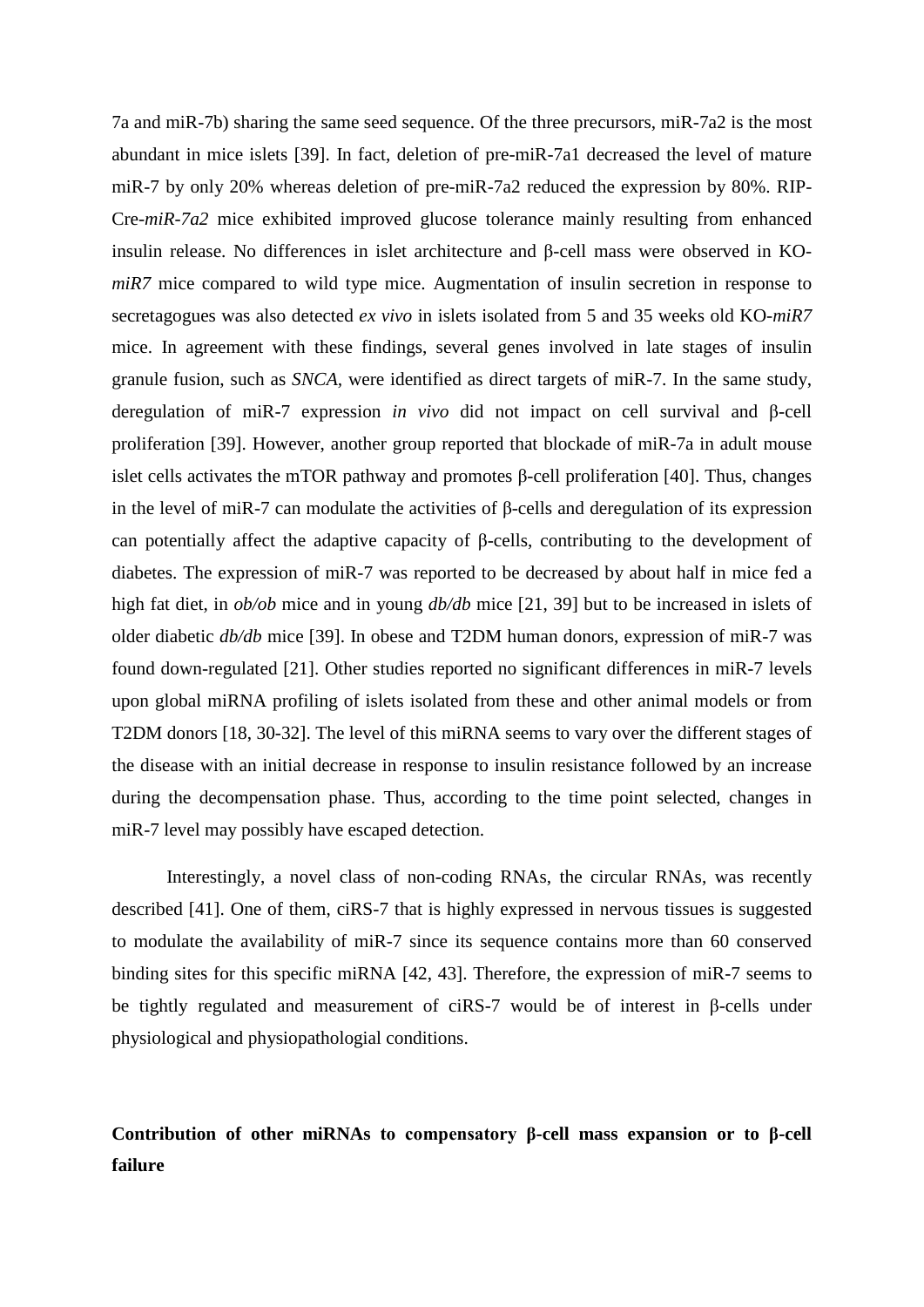7a and miR-7b) sharing the same seed sequence. Of the three precursors, miR-7a2 is the most abundant in mice islets [\[39\]](#page-19-0). In fact, deletion of pre-miR-7a1 decreased the level of mature miR-7 by only 20% whereas deletion of pre-miR-7a2 reduced the expression by 80%. RIP-Cre-*miR-7a2* mice exhibited improved glucose tolerance mainly resulting from enhanced insulin release. No differences in islet architecture and β-cell mass were observed in KO*miR7* mice compared to wild type mice. Augmentation of insulin secretion in response to secretagogues was also detected *ex vivo* in islets isolated from 5 and 35 weeks old KO-*miR7* mice. In agreement with these findings, several genes involved in late stages of insulin granule fusion, such as *SNCA,* were identified as direct targets of miR-7. In the same study, deregulation of miR-7 expression *in vivo* did not impact on cell survival and β-cell proliferation [\[39\]](#page-19-0). However, another group reported that blockade of miR-7a in adult mouse islet cells activates the mTOR pathway and promotes β-cell proliferation [\[40\]](#page-19-1). Thus, changes in the level of miR-7 can modulate the activities of  $\beta$ -cells and deregulation of its expression can potentially affect the adaptive capacity of β-cells, contributing to the development of diabetes. The expression of miR-7 was reported to be decreased by about half in mice fed a high fat diet, in *ob/ob* mice and in young *db/db* mice [\[21,](#page-17-16) [39\]](#page-19-0) but to be increased in islets of older diabetic *db/db* mice [\[39\]](#page-19-0). In obese and T2DM human donors, expression of miR-7 was found down-regulated [\[21\]](#page-17-16). Other studies reported no significant differences in miR-7 levels upon global miRNA profiling of islets isolated from these and other animal models or from T2DM donors [\[18,](#page-17-13) [30-32\]](#page-18-8). The level of this miRNA seems to vary over the different stages of the disease with an initial decrease in response to insulin resistance followed by an increase during the decompensation phase. Thus, according to the time point selected, changes in miR-7 level may possibly have escaped detection.

Interestingly, a novel class of non-coding RNAs, the circular RNAs, was recently described [\[41\]](#page-19-2). One of them, ciRS-7 that is highly expressed in nervous tissues is suggested to modulate the availability of miR-7 since its sequence contains more than 60 conserved binding sites for this specific miRNA [\[42,](#page-19-3) [43\]](#page-19-4). Therefore, the expression of miR-7 seems to be tightly regulated and measurement of ciRS-7 would be of interest in β-cells under physiological and physiopathologial conditions.

## **Contribution of other miRNAs to compensatory β-cell mass expansion or to β-cell failure**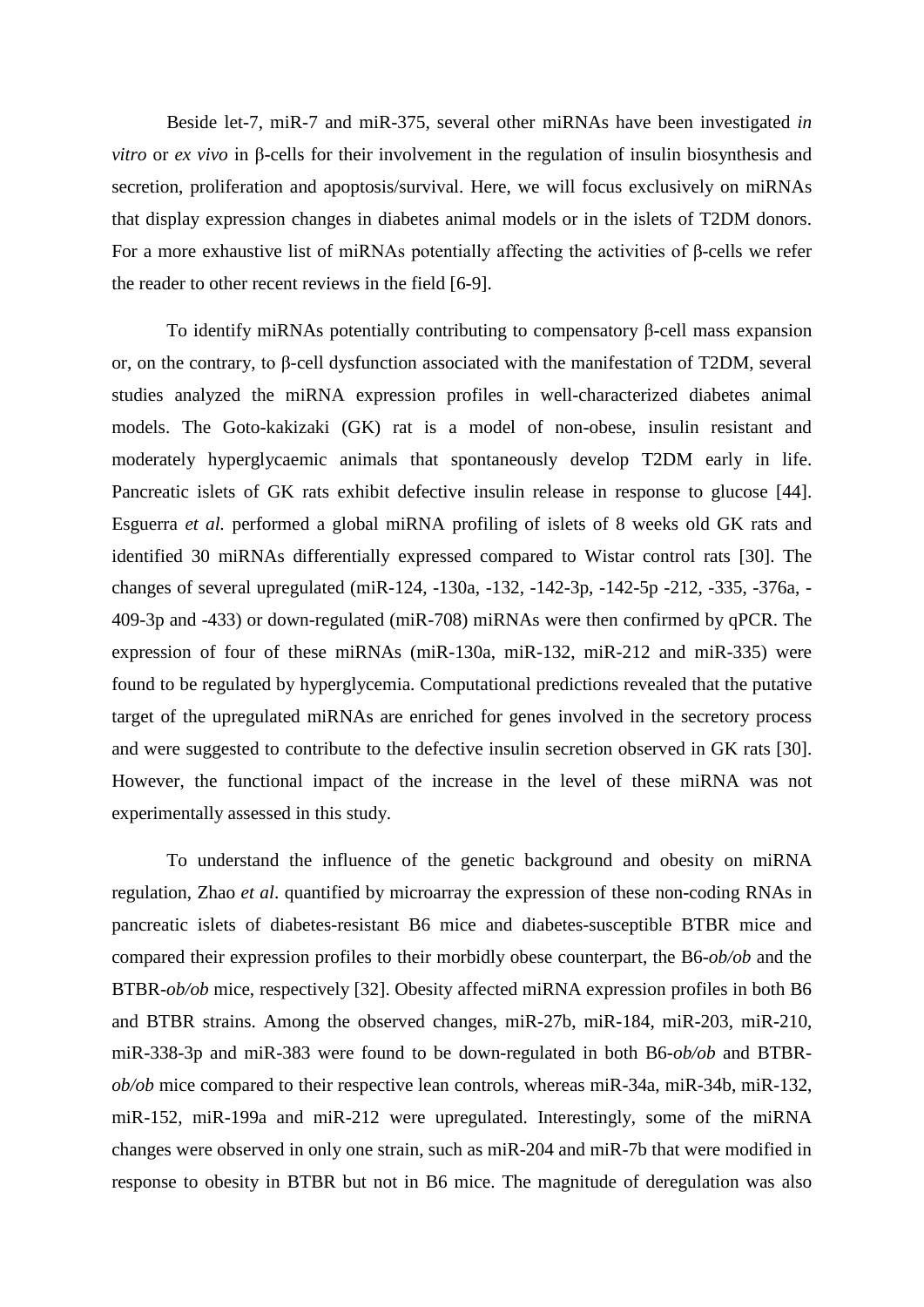Beside let-7, miR-7 and miR-375, several other miRNAs have been investigated *in vitro* or *ex vivo* in β-cells for their involvement in the regulation of insulin biosynthesis and secretion, proliferation and apoptosis/survival. Here, we will focus exclusively on miRNAs that display expression changes in diabetes animal models or in the islets of T2DM donors. For a more exhaustive list of miRNAs potentially affecting the activities of β-cells we refer the reader to other recent reviews in the field [\[6-9\]](#page-17-5).

To identify miRNAs potentially contributing to compensatory β-cell mass expansion or, on the contrary, to β-cell dysfunction associated with the manifestation of T2DM, several studies analyzed the miRNA expression profiles in well-characterized diabetes animal models. The Goto-kakizaki (GK) rat is a model of non-obese, insulin resistant and moderately hyperglycaemic animals that spontaneously develop T2DM early in life. Pancreatic islets of GK rats exhibit defective insulin release in response to glucose [\[44\]](#page-19-5). Esguerra *et al.* performed a global miRNA profiling of islets of 8 weeks old GK rats and identified 30 miRNAs differentially expressed compared to Wistar control rats [\[30\]](#page-18-8). The changes of several upregulated (miR-124, -130a, -132, -142-3p, -142-5p -212, -335, -376a, - 409-3p and -433) or down-regulated (miR-708) miRNAs were then confirmed by qPCR. The expression of four of these miRNAs (miR-130a, miR-132, miR-212 and miR-335) were found to be regulated by hyperglycemia. Computational predictions revealed that the putative target of the upregulated miRNAs are enriched for genes involved in the secretory process and were suggested to contribute to the defective insulin secretion observed in GK rats [\[30\]](#page-18-8). However, the functional impact of the increase in the level of these miRNA was not experimentally assessed in this study.

To understand the influence of the genetic background and obesity on miRNA regulation, Zhao *et al*. quantified by microarray the expression of these non-coding RNAs in pancreatic islets of diabetes-resistant B6 mice and diabetes-susceptible BTBR mice and compared their expression profiles to their morbidly obese counterpart, the B6-*ob/ob* and the BTBR-*ob/ob* mice, respectively [\[32\]](#page-18-10). Obesity affected miRNA expression profiles in both B6 and BTBR strains. Among the observed changes, miR-27b, miR-184, miR-203, miR-210, miR-338-3p and miR-383 were found to be down-regulated in both B6-*ob/ob* and BTBR*ob/ob* mice compared to their respective lean controls, whereas miR-34a, miR-34b, miR-132, miR-152, miR-199a and miR-212 were upregulated. Interestingly, some of the miRNA changes were observed in only one strain, such as miR-204 and miR-7b that were modified in response to obesity in BTBR but not in B6 mice. The magnitude of deregulation was also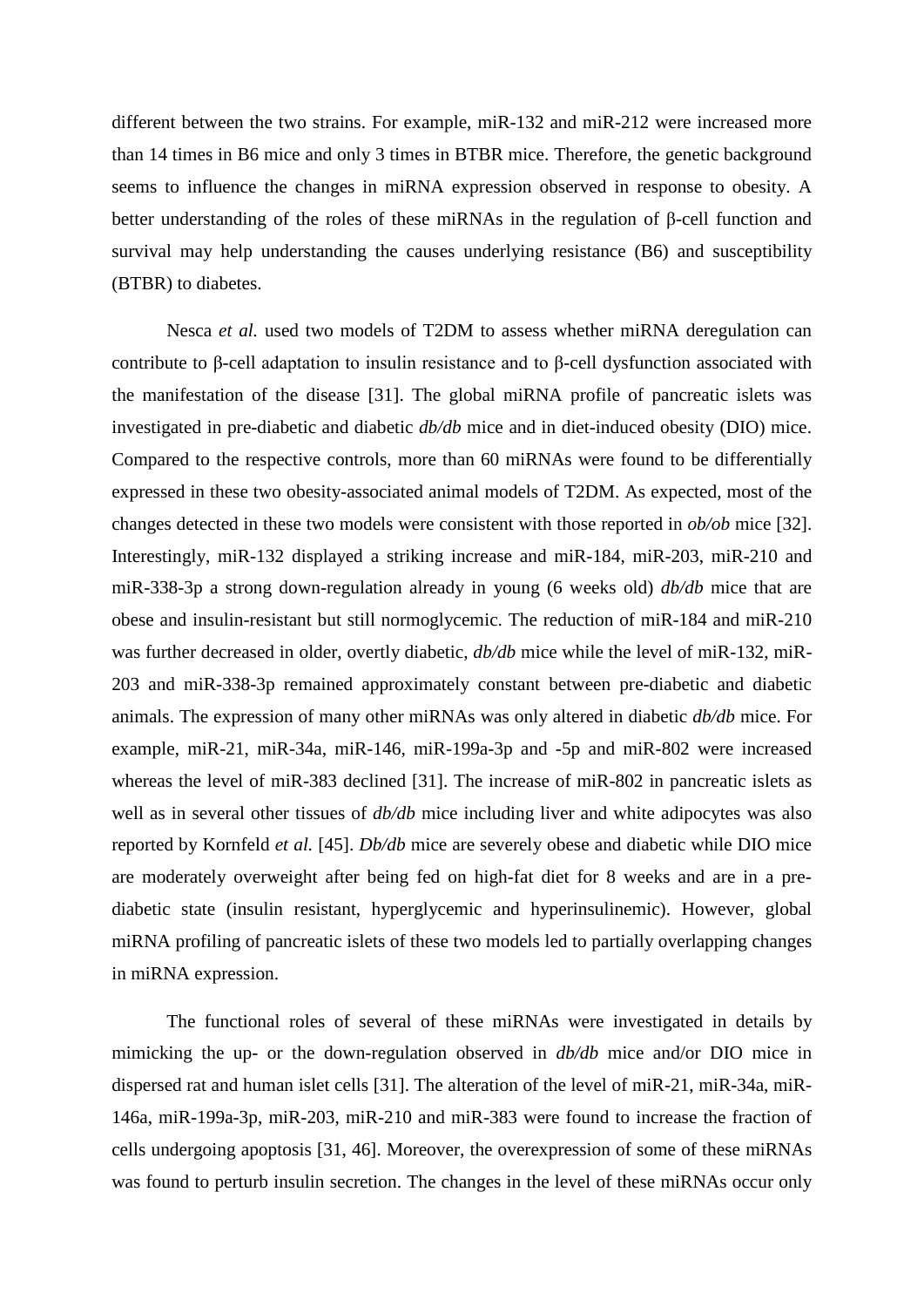different between the two strains. For example, miR-132 and miR-212 were increased more than 14 times in B6 mice and only 3 times in BTBR mice. Therefore, the genetic background seems to influence the changes in miRNA expression observed in response to obesity. A better understanding of the roles of these miRNAs in the regulation of β-cell function and survival may help understanding the causes underlying resistance (B6) and susceptibility (BTBR) to diabetes.

Nesca *et al.* used two models of T2DM to assess whether miRNA deregulation can contribute to β-cell adaptation to insulin resistance and to β-cell dysfunction associated with the manifestation of the disease [\[31\]](#page-18-9). The global miRNA profile of pancreatic islets was investigated in pre-diabetic and diabetic *db/db* mice and in diet-induced obesity (DIO) mice. Compared to the respective controls, more than 60 miRNAs were found to be differentially expressed in these two obesity-associated animal models of T2DM. As expected, most of the changes detected in these two models were consistent with those reported in *ob/ob* mice [\[32\]](#page-18-10). Interestingly, miR-132 displayed a striking increase and miR-184, miR-203, miR-210 and miR-338-3p a strong down-regulation already in young (6 weeks old) *db/db* mice that are obese and insulin-resistant but still normoglycemic. The reduction of miR-184 and miR-210 was further decreased in older, overtly diabetic, *db/db* mice while the level of miR-132, miR-203 and miR-338-3p remained approximately constant between pre-diabetic and diabetic animals. The expression of many other miRNAs was only altered in diabetic *db/db* mice. For example, miR-21, miR-34a, miR-146, miR-199a-3p and -5p and miR-802 were increased whereas the level of miR-383 declined [\[31\]](#page-18-9). The increase of miR-802 in pancreatic islets as well as in several other tissues of *db/db* mice including liver and white adipocytes was also reported by Kornfeld *et al.* [\[45\]](#page-19-6). *Db/db* mice are severely obese and diabetic while DIO mice are moderately overweight after being fed on high-fat diet for 8 weeks and are in a prediabetic state (insulin resistant, hyperglycemic and hyperinsulinemic). However, global miRNA profiling of pancreatic islets of these two models led to partially overlapping changes in miRNA expression.

The functional roles of several of these miRNAs were investigated in details by mimicking the up- or the down-regulation observed in *db/db* mice and/or DIO mice in dispersed rat and human islet cells [\[31\]](#page-18-9). The alteration of the level of miR-21, miR-34a, miR-146a, miR-199a-3p, miR-203, miR-210 and miR-383 were found to increase the fraction of cells undergoing apoptosis [\[31,](#page-18-9) [46\]](#page-19-7). Moreover, the overexpression of some of these miRNAs was found to perturb insulin secretion. The changes in the level of these miRNAs occur only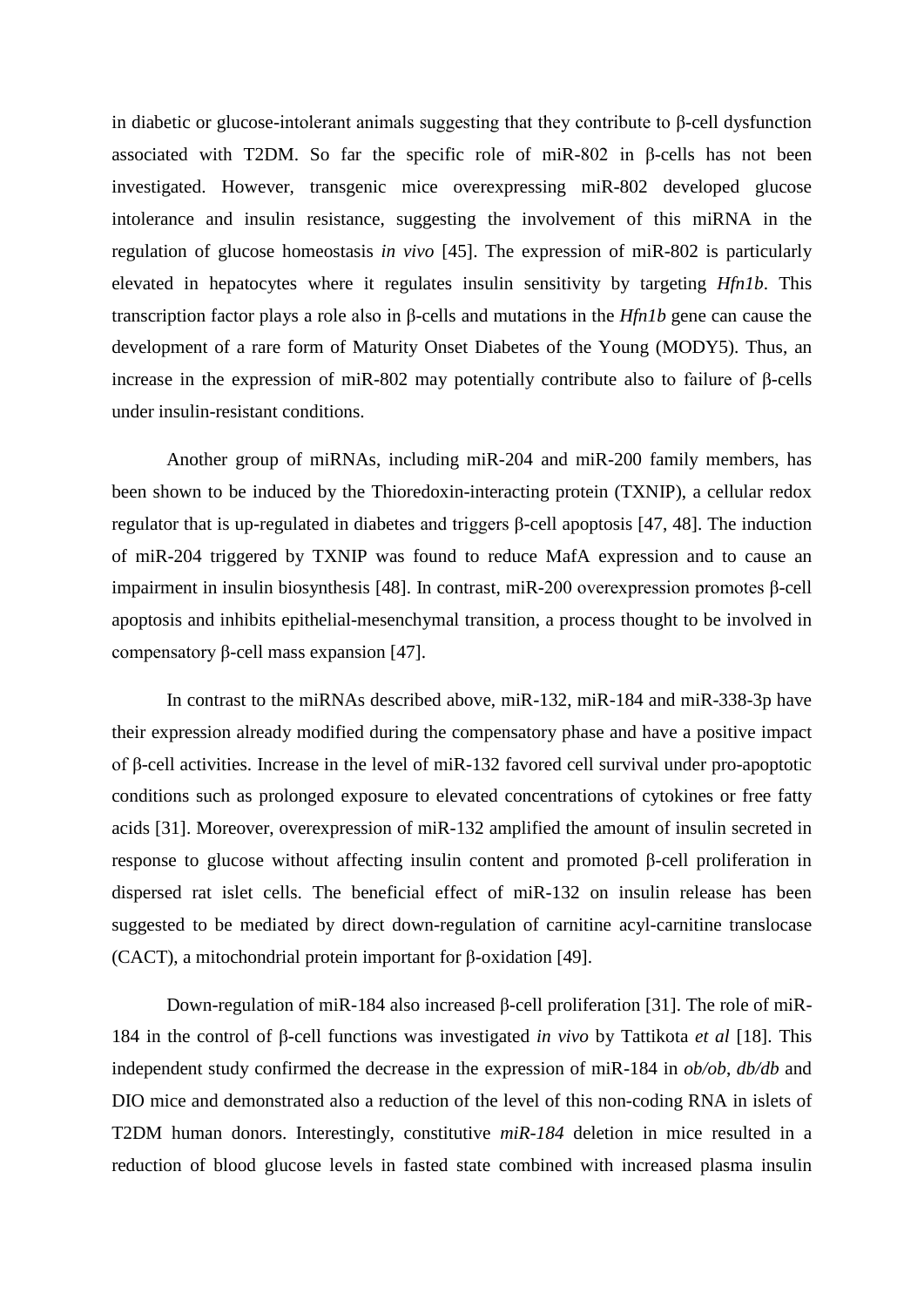in diabetic or glucose-intolerant animals suggesting that they contribute to β-cell dysfunction associated with T2DM. So far the specific role of miR-802 in β-cells has not been investigated. However, transgenic mice overexpressing miR-802 developed glucose intolerance and insulin resistance, suggesting the involvement of this miRNA in the regulation of glucose homeostasis *in vivo* [\[45\]](#page-19-6). The expression of miR-802 is particularly elevated in hepatocytes where it regulates insulin sensitivity by targeting *Hfn1b*. This transcription factor plays a role also in β-cells and mutations in the *Hfn1b* gene can cause the development of a rare form of Maturity Onset Diabetes of the Young (MODY5). Thus, an increase in the expression of miR-802 may potentially contribute also to failure of β-cells under insulin-resistant conditions.

Another group of miRNAs, including miR-204 and miR-200 family members, has been shown to be induced by the Thioredoxin-interacting protein (TXNIP), a cellular redox regulator that is up-regulated in diabetes and triggers β-cell apoptosis [\[47,](#page-19-8) [48\]](#page-19-9). The induction of miR-204 triggered by TXNIP was found to reduce MafA expression and to cause an impairment in insulin biosynthesis [\[48\]](#page-19-9). In contrast, miR-200 overexpression promotes β-cell apoptosis and inhibits epithelial-mesenchymal transition, a process thought to be involved in compensatory β-cell mass expansion [\[47\]](#page-19-8).

In contrast to the miRNAs described above, miR-132, miR-184 and miR-338-3p have their expression already modified during the compensatory phase and have a positive impact of β-cell activities. Increase in the level of miR-132 favored cell survival under pro-apoptotic conditions such as prolonged exposure to elevated concentrations of cytokines or free fatty acids [\[31\]](#page-18-9). Moreover, overexpression of miR-132 amplified the amount of insulin secreted in response to glucose without affecting insulin content and promoted β-cell proliferation in dispersed rat islet cells. The beneficial effect of miR-132 on insulin release has been suggested to be mediated by direct down-regulation of carnitine acyl-carnitine translocase (CACT), a mitochondrial protein important for β-oxidation [\[49\]](#page-19-10).

Down-regulation of miR-184 also increased β-cell proliferation [\[31\]](#page-18-9). The role of miR-184 in the control of β-cell functions was investigated *in vivo* by Tattikota *et al* [\[18\]](#page-17-13). This independent study confirmed the decrease in the expression of miR-184 in *ob/ob*, *db/db* and DIO mice and demonstrated also a reduction of the level of this non-coding RNA in islets of T2DM human donors. Interestingly, constitutive *miR-184* deletion in mice resulted in a reduction of blood glucose levels in fasted state combined with increased plasma insulin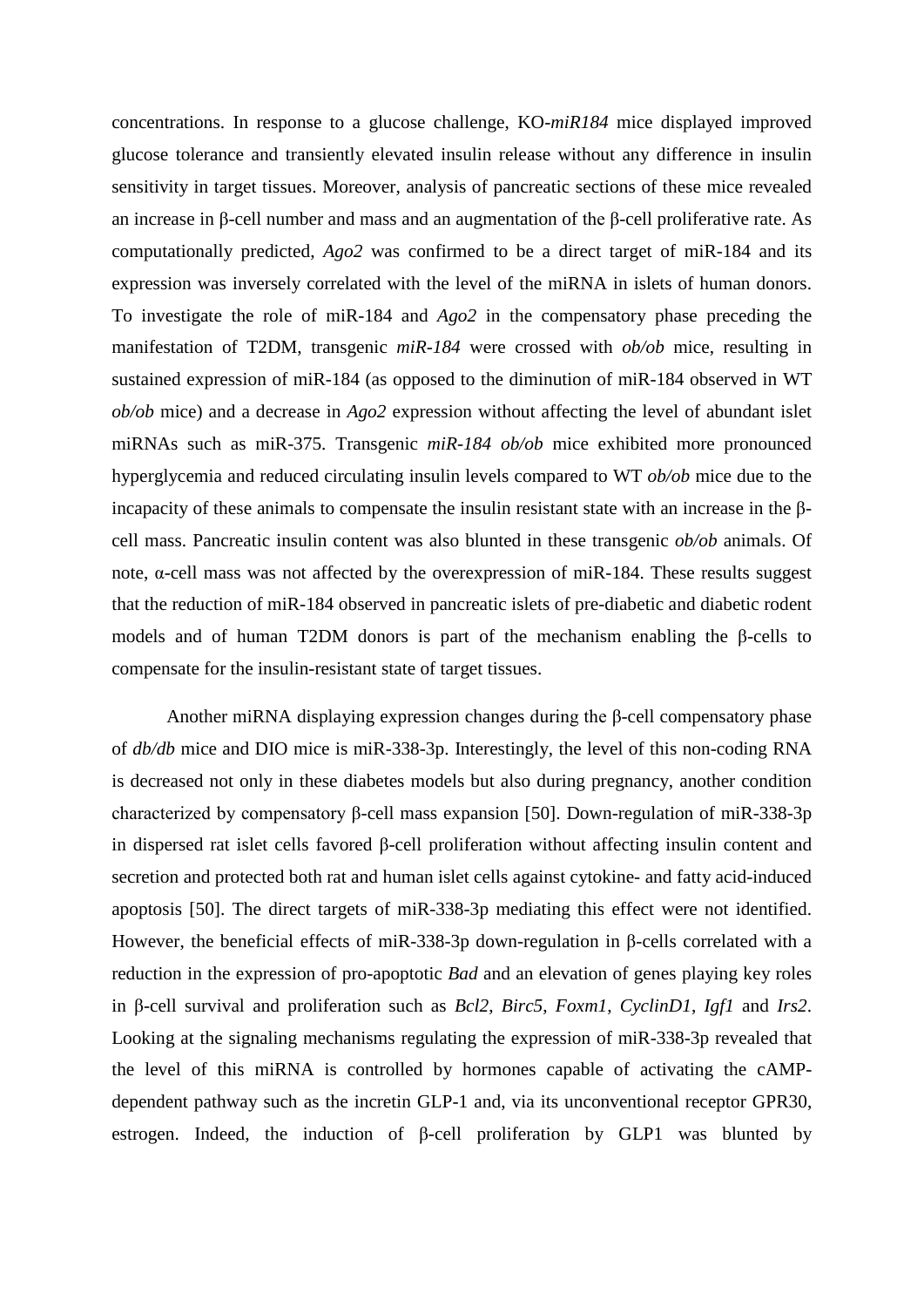concentrations. In response to a glucose challenge, KO-*miR184* mice displayed improved glucose tolerance and transiently elevated insulin release without any difference in insulin sensitivity in target tissues. Moreover, analysis of pancreatic sections of these mice revealed an increase in β-cell number and mass and an augmentation of the β-cell proliferative rate. As computationally predicted, *Ago2* was confirmed to be a direct target of miR-184 and its expression was inversely correlated with the level of the miRNA in islets of human donors. To investigate the role of miR-184 and *Ago2* in the compensatory phase preceding the manifestation of T2DM, transgenic *miR-184* were crossed with *ob/ob* mice, resulting in sustained expression of miR-184 (as opposed to the diminution of miR-184 observed in WT *ob/ob* mice) and a decrease in *Ago2* expression without affecting the level of abundant islet miRNAs such as miR-375. Transgenic *miR-184 ob/ob* mice exhibited more pronounced hyperglycemia and reduced circulating insulin levels compared to WT *ob/ob* mice due to the incapacity of these animals to compensate the insulin resistant state with an increase in the βcell mass. Pancreatic insulin content was also blunted in these transgenic *ob/ob* animals. Of note, α-cell mass was not affected by the overexpression of miR-184. These results suggest that the reduction of miR-184 observed in pancreatic islets of pre-diabetic and diabetic rodent models and of human T2DM donors is part of the mechanism enabling the β-cells to compensate for the insulin-resistant state of target tissues.

Another miRNA displaying expression changes during the β-cell compensatory phase of *db/db* mice and DIO mice is miR-338-3p. Interestingly, the level of this non-coding RNA is decreased not only in these diabetes models but also during pregnancy, another condition characterized by compensatory β-cell mass expansion [\[50\]](#page-19-11). Down-regulation of miR-338-3p in dispersed rat islet cells favored β-cell proliferation without affecting insulin content and secretion and protected both rat and human islet cells against cytokine- and fatty acid-induced apoptosis [\[50\]](#page-19-11). The direct targets of miR-338-3p mediating this effect were not identified. However, the beneficial effects of miR-338-3p down-regulation in β-cells correlated with a reduction in the expression of pro-apoptotic *Bad* and an elevation of genes playing key roles in β-cell survival and proliferation such as *Bcl2*, *Birc5*, *Foxm1*, *CyclinD1*, *Igf1* and *Irs2*. Looking at the signaling mechanisms regulating the expression of miR-338-3p revealed that the level of this miRNA is controlled by hormones capable of activating the cAMPdependent pathway such as the incretin GLP-1 and, via its unconventional receptor GPR30, estrogen. Indeed, the induction of β-cell proliferation by GLP1 was blunted by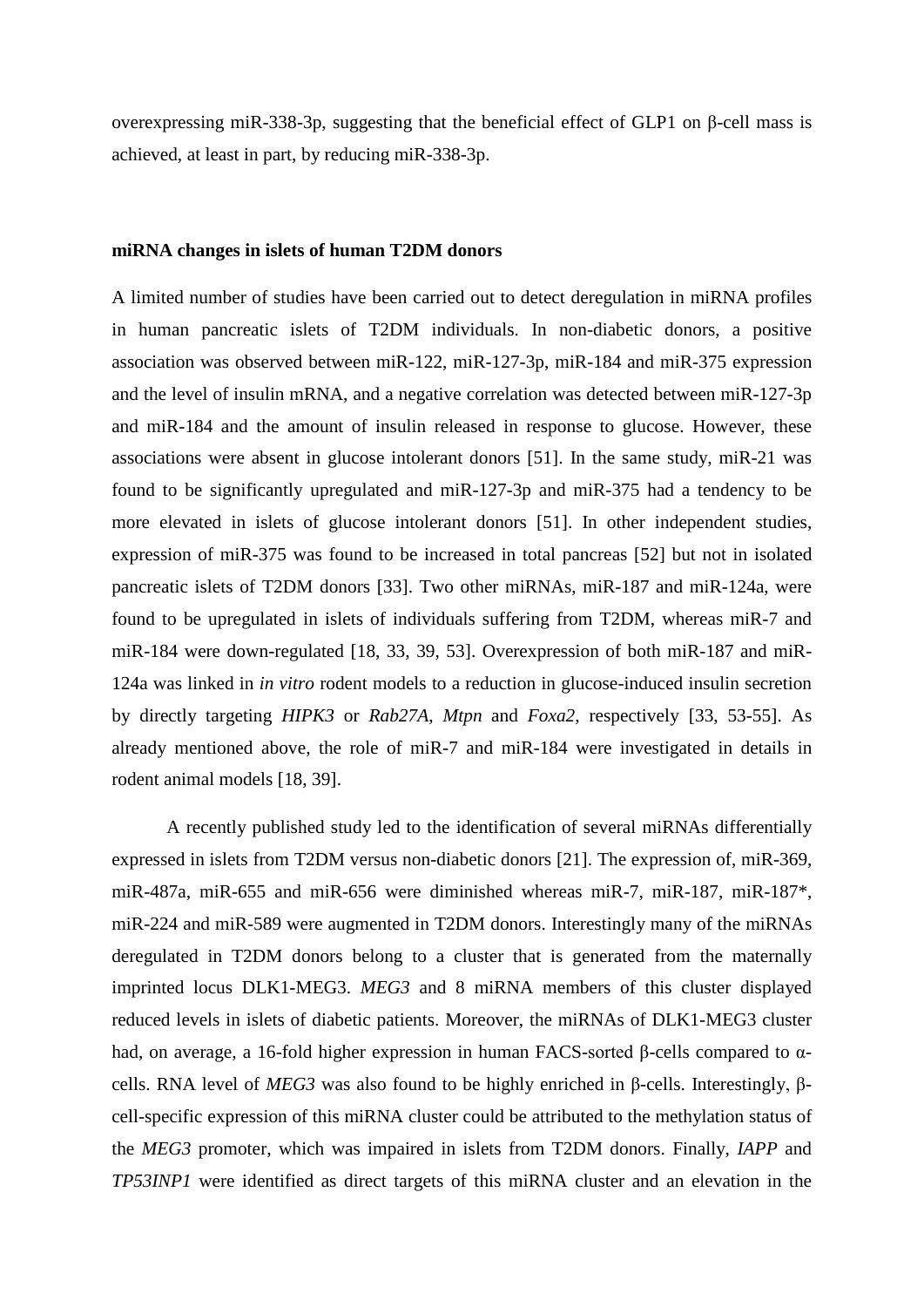overexpressing miR-338-3p, suggesting that the beneficial effect of GLP1 on β-cell mass is achieved, at least in part, by reducing miR-338-3p.

#### **miRNA changes in islets of human T2DM donors**

A limited number of studies have been carried out to detect deregulation in miRNA profiles in human pancreatic islets of T2DM individuals. In non-diabetic donors, a positive association was observed between miR-122, miR-127-3p, miR-184 and miR-375 expression and the level of insulin mRNA, and a negative correlation was detected between miR-127-3p and miR-184 and the amount of insulin released in response to glucose. However, these associations were absent in glucose intolerant donors [\[51\]](#page-19-12). In the same study, miR-21 was found to be significantly upregulated and miR-127-3p and miR-375 had a tendency to be more elevated in islets of glucose intolerant donors [\[51\]](#page-19-12). In other independent studies, expression of miR-375 was found to be increased in total pancreas [\[52\]](#page-19-13) but not in isolated pancreatic islets of T2DM donors [\[33\]](#page-18-11). Two other miRNAs, miR-187 and miR-124a, were found to be upregulated in islets of individuals suffering from T2DM, whereas miR-7 and miR-184 were down-regulated [\[18,](#page-17-13) [33,](#page-18-11) [39,](#page-19-0) [53\]](#page-19-14). Overexpression of both miR-187 and miR-124a was linked in *in vitro* rodent models to a reduction in glucose-induced insulin secretion by directly targeting *HIPK3* or *Rab27A*, *Mtpn* and *Foxa2*, respectively [\[33,](#page-18-11) [53-55\]](#page-19-14). As already mentioned above, the role of miR-7 and miR-184 were investigated in details in rodent animal models [\[18,](#page-17-13) [39\]](#page-19-0).

A recently published study led to the identification of several miRNAs differentially expressed in islets from T2DM versus non-diabetic donors [\[21\]](#page-17-16). The expression of, miR-369, miR-487a, miR-655 and miR-656 were diminished whereas miR-7, miR-187, miR-187<sup>\*</sup>, miR-224 and miR-589 were augmented in T2DM donors. Interestingly many of the miRNAs deregulated in T2DM donors belong to a cluster that is generated from the maternally imprinted locus DLK1-MEG3. *MEG3* and 8 miRNA members of this cluster displayed reduced levels in islets of diabetic patients. Moreover, the miRNAs of DLK1-MEG3 cluster had, on average, a 16-fold higher expression in human FACS-sorted β-cells compared to αcells. RNA level of *MEG3* was also found to be highly enriched in β-cells. Interestingly, βcell-specific expression of this miRNA cluster could be attributed to the methylation status of the *MEG3* promoter, which was impaired in islets from T2DM donors. Finally, *IAPP* and *TP53INP1* were identified as direct targets of this miRNA cluster and an elevation in the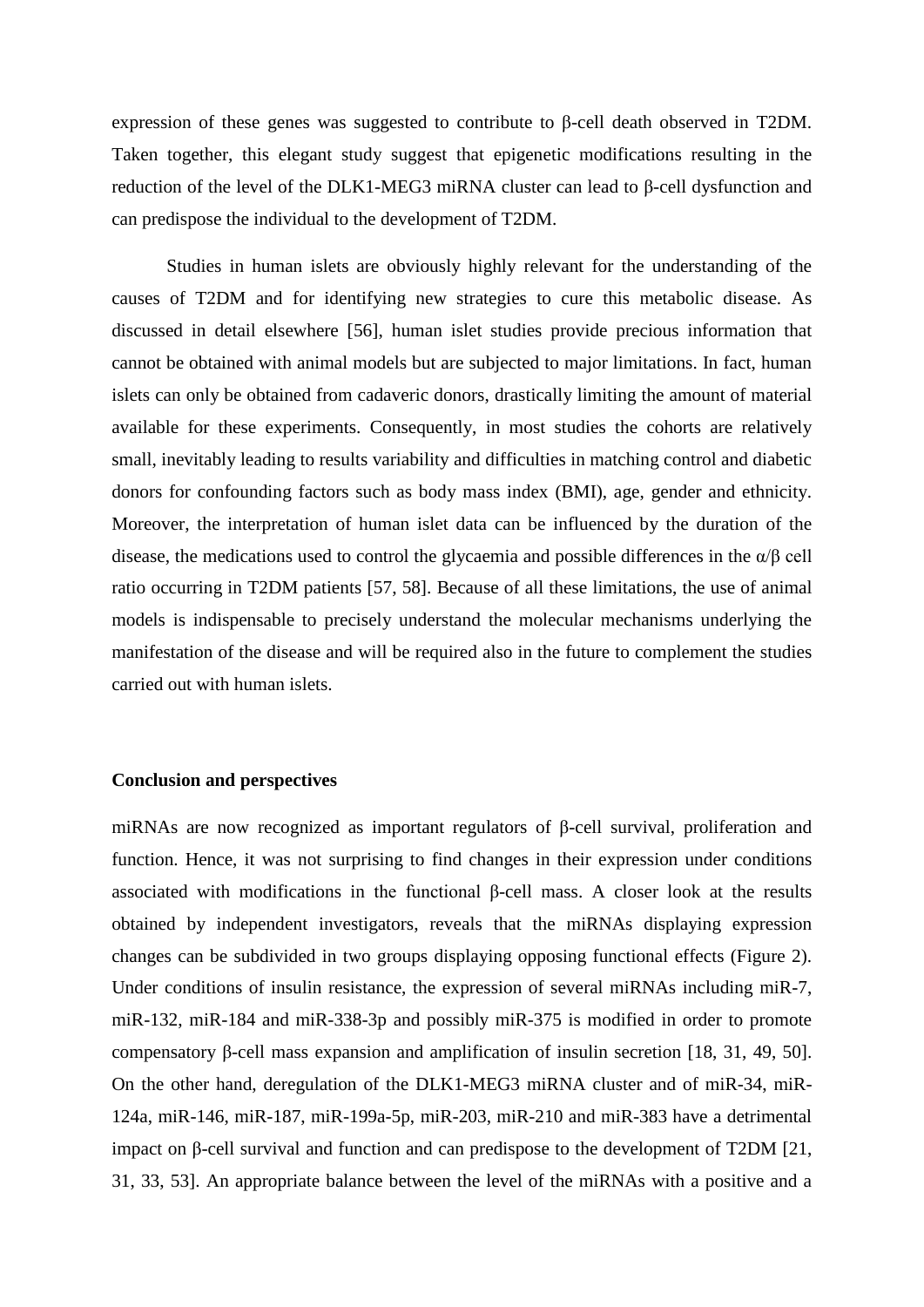expression of these genes was suggested to contribute to β-cell death observed in T2DM. Taken together, this elegant study suggest that epigenetic modifications resulting in the reduction of the level of the DLK1-MEG3 miRNA cluster can lead to β-cell dysfunction and can predispose the individual to the development of T2DM.

Studies in human islets are obviously highly relevant for the understanding of the causes of T2DM and for identifying new strategies to cure this metabolic disease. As discussed in detail elsewhere [\[56\]](#page-19-15), human islet studies provide precious information that cannot be obtained with animal models but are subjected to major limitations. In fact, human islets can only be obtained from cadaveric donors, drastically limiting the amount of material available for these experiments. Consequently, in most studies the cohorts are relatively small, inevitably leading to results variability and difficulties in matching control and diabetic donors for confounding factors such as body mass index (BMI), age, gender and ethnicity. Moreover, the interpretation of human islet data can be influenced by the duration of the disease, the medications used to control the glycaemia and possible differences in the  $\alpha/\beta$  cell ratio occurring in T2DM patients [\[57,](#page-19-16) [58\]](#page-20-0). Because of all these limitations, the use of animal models is indispensable to precisely understand the molecular mechanisms underlying the manifestation of the disease and will be required also in the future to complement the studies carried out with human islets.

#### **Conclusion and perspectives**

miRNAs are now recognized as important regulators of β-cell survival, proliferation and function. Hence, it was not surprising to find changes in their expression under conditions associated with modifications in the functional β-cell mass. A closer look at the results obtained by independent investigators, reveals that the miRNAs displaying expression changes can be subdivided in two groups displaying opposing functional effects (Figure 2). Under conditions of insulin resistance, the expression of several miRNAs including miR-7, miR-132, miR-184 and miR-338-3p and possibly miR-375 is modified in order to promote compensatory β-cell mass expansion and amplification of insulin secretion [\[18,](#page-17-13) [31,](#page-18-9) [49,](#page-19-10) [50\]](#page-19-11). On the other hand, deregulation of the DLK1-MEG3 miRNA cluster and of miR-34, miR-124a, miR-146, miR-187, miR-199a-5p, miR-203, miR-210 and miR-383 have a detrimental impact on β-cell survival and function and can predispose to the development of T2DM [\[21,](#page-17-16) [31,](#page-18-9) [33,](#page-18-11) [53\]](#page-19-14). An appropriate balance between the level of the miRNAs with a positive and a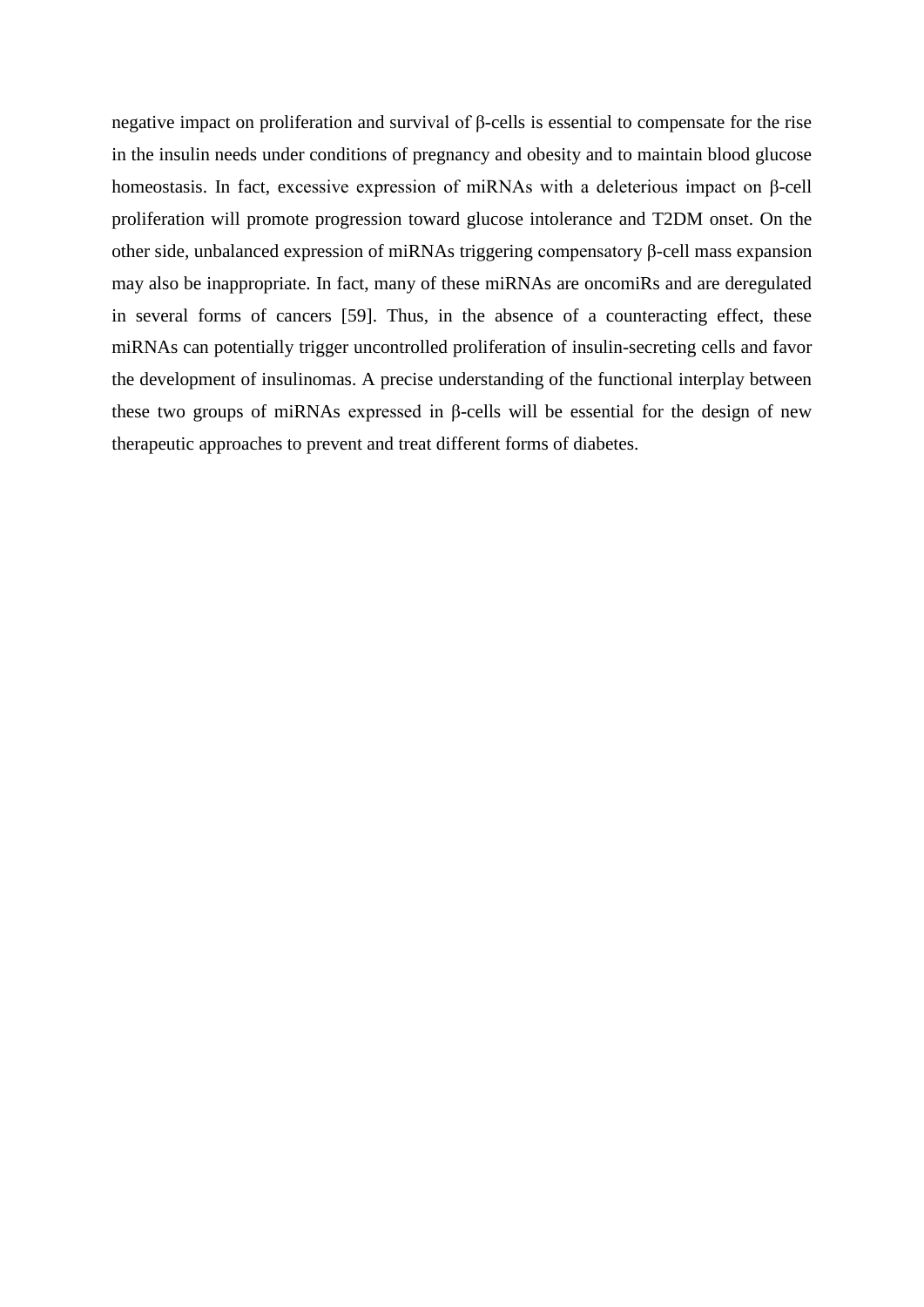negative impact on proliferation and survival of β-cells is essential to compensate for the rise in the insulin needs under conditions of pregnancy and obesity and to maintain blood glucose homeostasis. In fact, excessive expression of miRNAs with a deleterious impact on β-cell proliferation will promote progression toward glucose intolerance and T2DM onset. On the other side, unbalanced expression of miRNAs triggering compensatory β-cell mass expansion may also be inappropriate. In fact, many of these miRNAs are oncomiRs and are deregulated in several forms of cancers [\[59\]](#page-20-1). Thus, in the absence of a counteracting effect, these miRNAs can potentially trigger uncontrolled proliferation of insulin-secreting cells and favor the development of insulinomas. A precise understanding of the functional interplay between these two groups of miRNAs expressed in β-cells will be essential for the design of new therapeutic approaches to prevent and treat different forms of diabetes.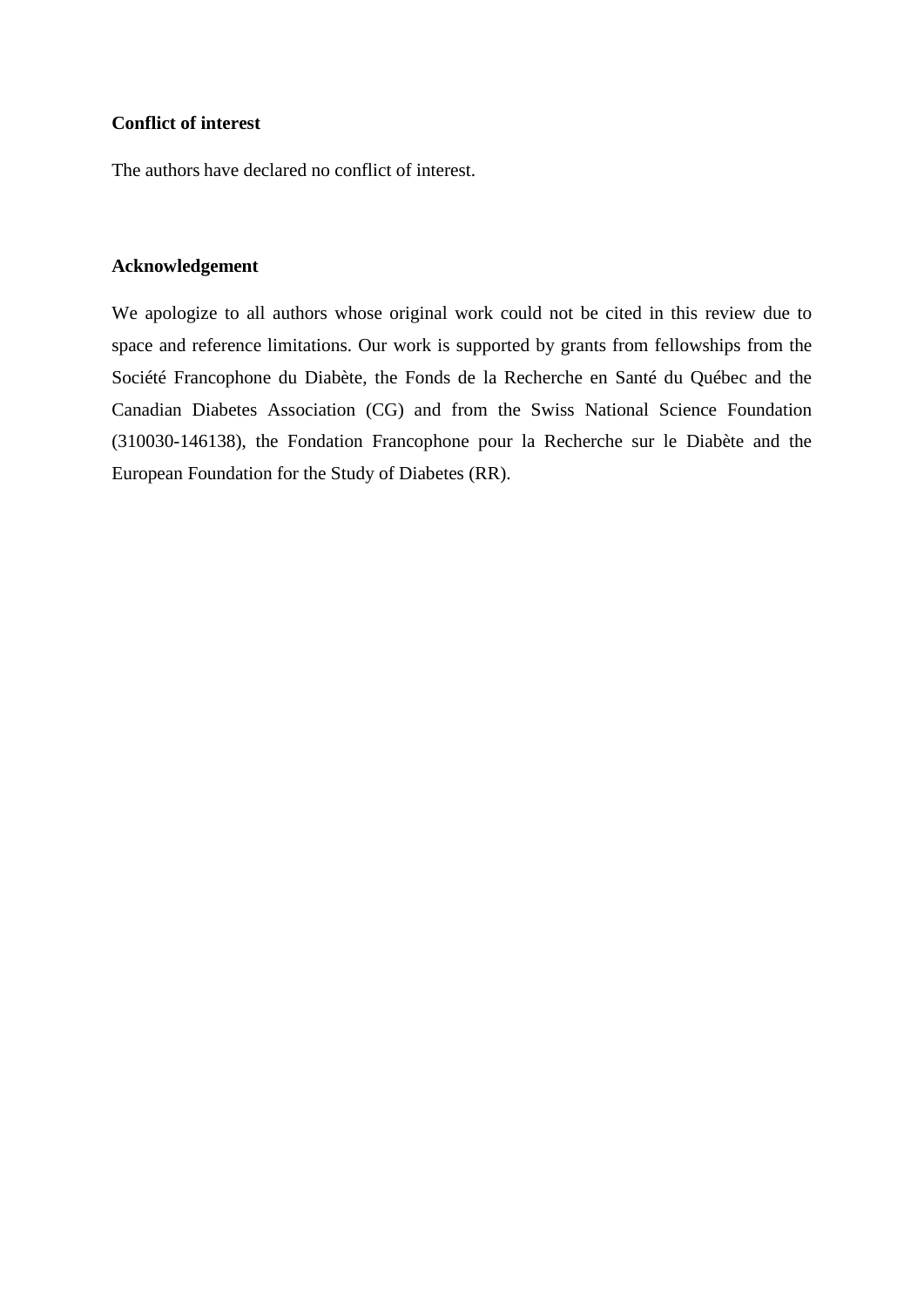#### **Conflict of interest**

The authors have declared no conflict of interest.

#### **Acknowledgement**

We apologize to all authors whose original work could not be cited in this review due to space and reference limitations. Our work is supported by grants from fellowships from the Société Francophone du Diabète, the Fonds de la Recherche en Santé du Québec and the Canadian Diabetes Association (CG) and from the Swiss National Science Foundation (310030-146138), the Fondation Francophone pour la Recherche sur le Diabète and the European Foundation for the Study of Diabetes (RR).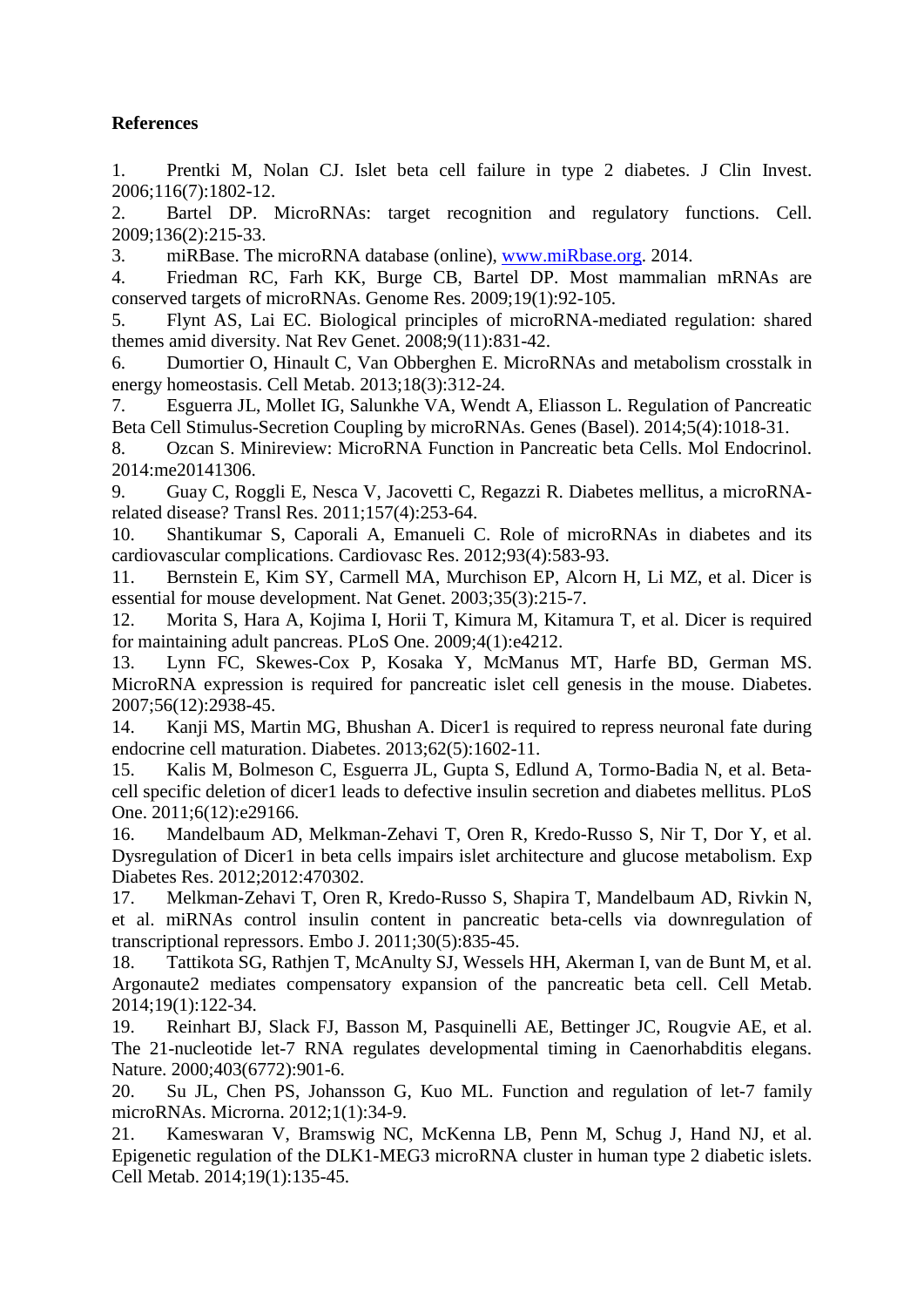### **References**

<span id="page-17-0"></span>1. Prentki M, Nolan CJ. Islet beta cell failure in type 2 diabetes. J Clin Invest. 2006;116(7):1802-12.

<span id="page-17-1"></span>2. Bartel DP. MicroRNAs: target recognition and regulatory functions. Cell. 2009;136(2):215-33.

<span id="page-17-2"></span>3. miRBase. The microRNA database (online), [www.miRbase.org.](http://www.mirbase.org/) 2014.

<span id="page-17-3"></span>4. Friedman RC, Farh KK, Burge CB, Bartel DP. Most mammalian mRNAs are conserved targets of microRNAs. Genome Res. 2009;19(1):92-105.

<span id="page-17-4"></span>5. Flynt AS, Lai EC. Biological principles of microRNA-mediated regulation: shared themes amid diversity. Nat Rev Genet. 2008;9(11):831-42.

<span id="page-17-5"></span>6. Dumortier O, Hinault C, Van Obberghen E. MicroRNAs and metabolism crosstalk in energy homeostasis. Cell Metab. 2013;18(3):312-24.

7. Esguerra JL, Mollet IG, Salunkhe VA, Wendt A, Eliasson L. Regulation of Pancreatic Beta Cell Stimulus-Secretion Coupling by microRNAs. Genes (Basel). 2014;5(4):1018-31.

8. Ozcan S. Minireview: MicroRNA Function in Pancreatic beta Cells. Mol Endocrinol. 2014:me20141306.

9. Guay C, Roggli E, Nesca V, Jacovetti C, Regazzi R. Diabetes mellitus, a microRNArelated disease? Transl Res. 2011;157(4):253-64.

10. Shantikumar S, Caporali A, Emanueli C. Role of microRNAs in diabetes and its cardiovascular complications. Cardiovasc Res. 2012;93(4):583-93.

<span id="page-17-6"></span>11. Bernstein E, Kim SY, Carmell MA, Murchison EP, Alcorn H, Li MZ, et al. Dicer is essential for mouse development. Nat Genet. 2003;35(3):215-7.

<span id="page-17-7"></span>12. Morita S, Hara A, Kojima I, Horii T, Kimura M, Kitamura T, et al. Dicer is required for maintaining adult pancreas. PLoS One. 2009;4(1):e4212.

<span id="page-17-8"></span>13. Lynn FC, Skewes-Cox P, Kosaka Y, McManus MT, Harfe BD, German MS. MicroRNA expression is required for pancreatic islet cell genesis in the mouse. Diabetes. 2007;56(12):2938-45.

<span id="page-17-9"></span>14. Kanji MS, Martin MG, Bhushan A. Dicer1 is required to repress neuronal fate during endocrine cell maturation. Diabetes. 2013;62(5):1602-11.

<span id="page-17-10"></span>15. Kalis M, Bolmeson C, Esguerra JL, Gupta S, Edlund A, Tormo-Badia N, et al. Betacell specific deletion of dicer1 leads to defective insulin secretion and diabetes mellitus. PLoS One. 2011;6(12):e29166.

<span id="page-17-11"></span>16. Mandelbaum AD, Melkman-Zehavi T, Oren R, Kredo-Russo S, Nir T, Dor Y, et al. Dysregulation of Dicer1 in beta cells impairs islet architecture and glucose metabolism. Exp Diabetes Res. 2012;2012:470302.

<span id="page-17-12"></span>17. Melkman-Zehavi T, Oren R, Kredo-Russo S, Shapira T, Mandelbaum AD, Rivkin N, et al. miRNAs control insulin content in pancreatic beta-cells via downregulation of transcriptional repressors. Embo J. 2011;30(5):835-45.

<span id="page-17-13"></span>18. Tattikota SG, Rathjen T, McAnulty SJ, Wessels HH, Akerman I, van de Bunt M, et al. Argonaute2 mediates compensatory expansion of the pancreatic beta cell. Cell Metab. 2014;19(1):122-34.

<span id="page-17-14"></span>19. Reinhart BJ, Slack FJ, Basson M, Pasquinelli AE, Bettinger JC, Rougvie AE, et al. The 21-nucleotide let-7 RNA regulates developmental timing in Caenorhabditis elegans. Nature. 2000;403(6772):901-6.

<span id="page-17-15"></span>20. Su JL, Chen PS, Johansson G, Kuo ML. Function and regulation of let-7 family microRNAs. Microrna. 2012;1(1):34-9.

<span id="page-17-16"></span>21. Kameswaran V, Bramswig NC, McKenna LB, Penn M, Schug J, Hand NJ, et al. Epigenetic regulation of the DLK1-MEG3 microRNA cluster in human type 2 diabetic islets. Cell Metab. 2014;19(1):135-45.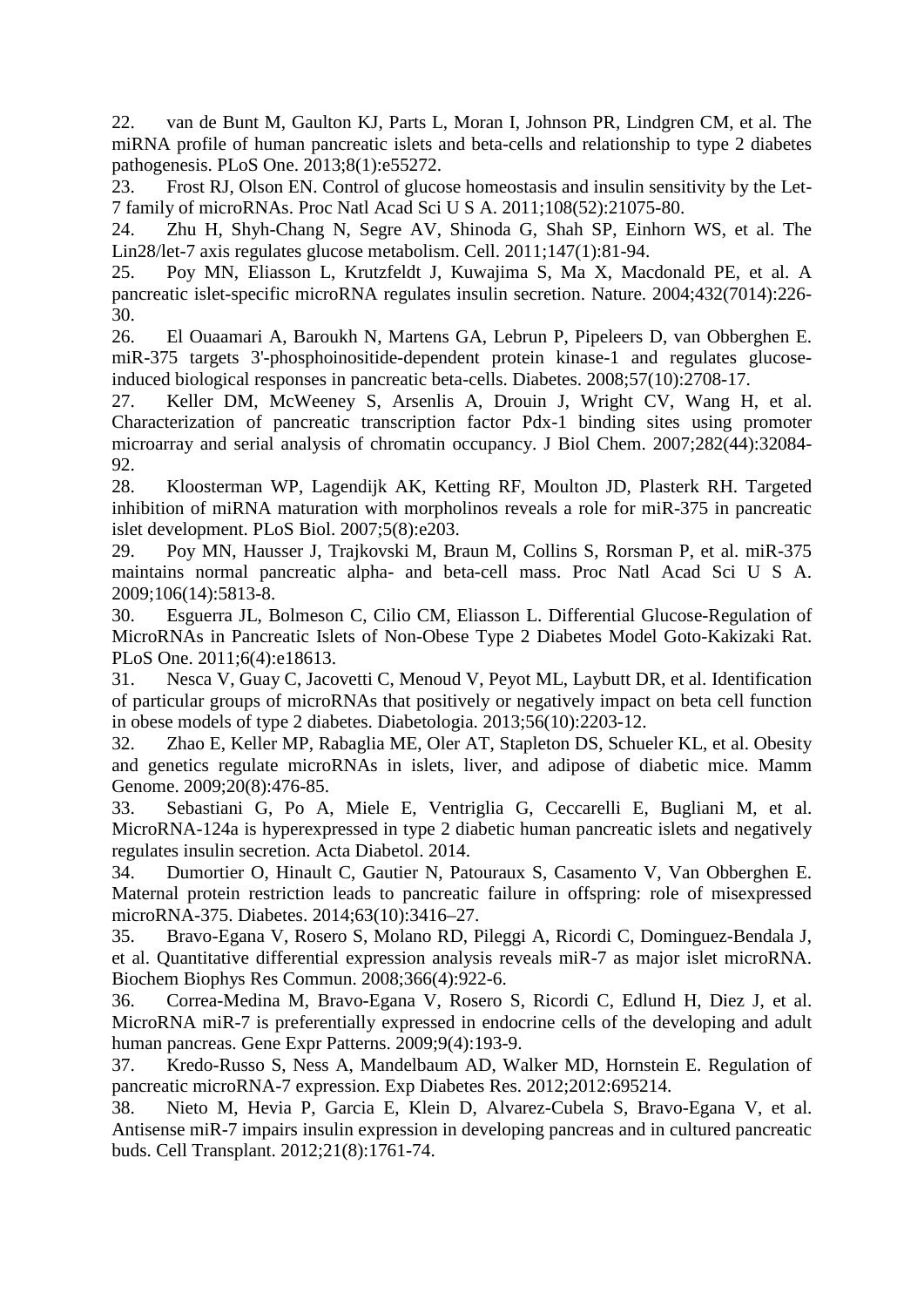<span id="page-18-0"></span>22. van de Bunt M, Gaulton KJ, Parts L, Moran I, Johnson PR, Lindgren CM, et al. The miRNA profile of human pancreatic islets and beta-cells and relationship to type 2 diabetes pathogenesis. PLoS One. 2013;8(1):e55272.

<span id="page-18-1"></span>23. Frost RJ, Olson EN. Control of glucose homeostasis and insulin sensitivity by the Let-7 family of microRNAs. Proc Natl Acad Sci U S A. 2011;108(52):21075-80.

<span id="page-18-2"></span>24. Zhu H, Shyh-Chang N, Segre AV, Shinoda G, Shah SP, Einhorn WS, et al. The Lin28/let-7 axis regulates glucose metabolism. Cell. 2011;147(1):81-94.

<span id="page-18-3"></span>25. Poy MN, Eliasson L, Krutzfeldt J, Kuwajima S, Ma X, Macdonald PE, et al. A pancreatic islet-specific microRNA regulates insulin secretion. Nature. 2004;432(7014):226- 30.

<span id="page-18-4"></span>26. El Ouaamari A, Baroukh N, Martens GA, Lebrun P, Pipeleers D, van Obberghen E. miR-375 targets 3'-phosphoinositide-dependent protein kinase-1 and regulates glucoseinduced biological responses in pancreatic beta-cells. Diabetes. 2008;57(10):2708-17.

<span id="page-18-5"></span>27. Keller DM, McWeeney S, Arsenlis A, Drouin J, Wright CV, Wang H, et al. Characterization of pancreatic transcription factor Pdx-1 binding sites using promoter microarray and serial analysis of chromatin occupancy. J Biol Chem. 2007;282(44):32084- 92.

<span id="page-18-6"></span>28. Kloosterman WP, Lagendijk AK, Ketting RF, Moulton JD, Plasterk RH. Targeted inhibition of miRNA maturation with morpholinos reveals a role for miR-375 in pancreatic islet development. PLoS Biol. 2007;5(8):e203.

<span id="page-18-7"></span>29. Poy MN, Hausser J, Trajkovski M, Braun M, Collins S, Rorsman P, et al. miR-375 maintains normal pancreatic alpha- and beta-cell mass. Proc Natl Acad Sci U S A. 2009;106(14):5813-8.

<span id="page-18-8"></span>30. Esguerra JL, Bolmeson C, Cilio CM, Eliasson L. Differential Glucose-Regulation of MicroRNAs in Pancreatic Islets of Non-Obese Type 2 Diabetes Model Goto-Kakizaki Rat. PLoS One. 2011;6(4):e18613.

<span id="page-18-9"></span>31. Nesca V, Guay C, Jacovetti C, Menoud V, Peyot ML, Laybutt DR, et al. Identification of particular groups of microRNAs that positively or negatively impact on beta cell function in obese models of type 2 diabetes. Diabetologia. 2013;56(10):2203-12.

<span id="page-18-10"></span>32. Zhao E, Keller MP, Rabaglia ME, Oler AT, Stapleton DS, Schueler KL, et al. Obesity and genetics regulate microRNAs in islets, liver, and adipose of diabetic mice. Mamm Genome. 2009;20(8):476-85.

<span id="page-18-11"></span>33. Sebastiani G, Po A, Miele E, Ventriglia G, Ceccarelli E, Bugliani M, et al. MicroRNA-124a is hyperexpressed in type 2 diabetic human pancreatic islets and negatively regulates insulin secretion. Acta Diabetol. 2014.

<span id="page-18-12"></span>34. Dumortier O, Hinault C, Gautier N, Patouraux S, Casamento V, Van Obberghen E. Maternal protein restriction leads to pancreatic failure in offspring: role of misexpressed microRNA-375. Diabetes. 2014;63(10):3416–27.

<span id="page-18-13"></span>35. Bravo-Egana V, Rosero S, Molano RD, Pileggi A, Ricordi C, Dominguez-Bendala J, et al. Quantitative differential expression analysis reveals miR-7 as major islet microRNA. Biochem Biophys Res Commun. 2008;366(4):922-6.

36. Correa-Medina M, Bravo-Egana V, Rosero S, Ricordi C, Edlund H, Diez J, et al. MicroRNA miR-7 is preferentially expressed in endocrine cells of the developing and adult human pancreas. Gene Expr Patterns. 2009;9(4):193-9.

<span id="page-18-15"></span>37. Kredo-Russo S, Ness A, Mandelbaum AD, Walker MD, Hornstein E. Regulation of pancreatic microRNA-7 expression. Exp Diabetes Res. 2012;2012:695214.

<span id="page-18-14"></span>38. Nieto M, Hevia P, Garcia E, Klein D, Alvarez-Cubela S, Bravo-Egana V, et al. Antisense miR-7 impairs insulin expression in developing pancreas and in cultured pancreatic buds. Cell Transplant. 2012;21(8):1761-74.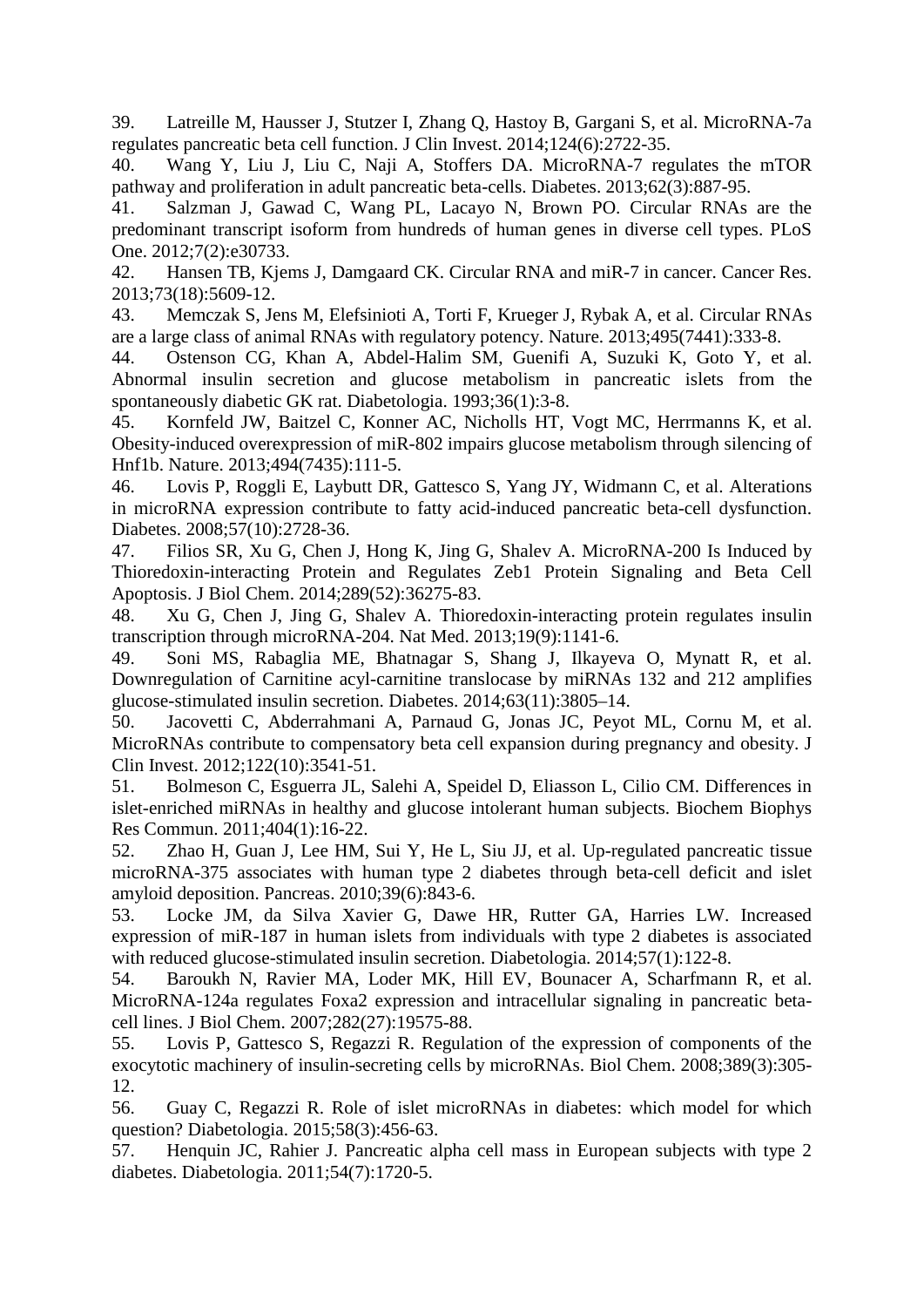<span id="page-19-0"></span>39. Latreille M, Hausser J, Stutzer I, Zhang Q, Hastoy B, Gargani S, et al. MicroRNA-7a regulates pancreatic beta cell function. J Clin Invest. 2014;124(6):2722-35.

<span id="page-19-1"></span>40. Wang Y, Liu J, Liu C, Naji A, Stoffers DA. MicroRNA-7 regulates the mTOR pathway and proliferation in adult pancreatic beta-cells. Diabetes. 2013;62(3):887-95.

<span id="page-19-2"></span>41. Salzman J, Gawad C, Wang PL, Lacayo N, Brown PO. Circular RNAs are the predominant transcript isoform from hundreds of human genes in diverse cell types. PLoS One. 2012;7(2):e30733.

<span id="page-19-3"></span>42. Hansen TB, Kjems J, Damgaard CK. Circular RNA and miR-7 in cancer. Cancer Res. 2013;73(18):5609-12.

<span id="page-19-4"></span>43. Memczak S, Jens M, Elefsinioti A, Torti F, Krueger J, Rybak A, et al. Circular RNAs are a large class of animal RNAs with regulatory potency. Nature. 2013;495(7441):333-8.

<span id="page-19-5"></span>44. Ostenson CG, Khan A, Abdel-Halim SM, Guenifi A, Suzuki K, Goto Y, et al. Abnormal insulin secretion and glucose metabolism in pancreatic islets from the spontaneously diabetic GK rat. Diabetologia. 1993;36(1):3-8.

<span id="page-19-6"></span>45. Kornfeld JW, Baitzel C, Konner AC, Nicholls HT, Vogt MC, Herrmanns K, et al. Obesity-induced overexpression of miR-802 impairs glucose metabolism through silencing of Hnf1b. Nature. 2013;494(7435):111-5.

<span id="page-19-7"></span>46. Lovis P, Roggli E, Laybutt DR, Gattesco S, Yang JY, Widmann C, et al. Alterations in microRNA expression contribute to fatty acid-induced pancreatic beta-cell dysfunction. Diabetes. 2008;57(10):2728-36.

<span id="page-19-8"></span>47. Filios SR, Xu G, Chen J, Hong K, Jing G, Shalev A. MicroRNA-200 Is Induced by Thioredoxin-interacting Protein and Regulates Zeb1 Protein Signaling and Beta Cell Apoptosis. J Biol Chem. 2014;289(52):36275-83.

<span id="page-19-9"></span>48. Xu G, Chen J, Jing G, Shalev A. Thioredoxin-interacting protein regulates insulin transcription through microRNA-204. Nat Med. 2013;19(9):1141-6.

<span id="page-19-10"></span>49. Soni MS, Rabaglia ME, Bhatnagar S, Shang J, Ilkayeva O, Mynatt R, et al. Downregulation of Carnitine acyl-carnitine translocase by miRNAs 132 and 212 amplifies glucose-stimulated insulin secretion. Diabetes. 2014;63(11):3805–14.

<span id="page-19-11"></span>50. Jacovetti C, Abderrahmani A, Parnaud G, Jonas JC, Peyot ML, Cornu M, et al. MicroRNAs contribute to compensatory beta cell expansion during pregnancy and obesity. J Clin Invest. 2012;122(10):3541-51.

<span id="page-19-12"></span>51. Bolmeson C, Esguerra JL, Salehi A, Speidel D, Eliasson L, Cilio CM. Differences in islet-enriched miRNAs in healthy and glucose intolerant human subjects. Biochem Biophys Res Commun. 2011;404(1):16-22.

<span id="page-19-13"></span>52. Zhao H, Guan J, Lee HM, Sui Y, He L, Siu JJ, et al. Up-regulated pancreatic tissue microRNA-375 associates with human type 2 diabetes through beta-cell deficit and islet amyloid deposition. Pancreas. 2010;39(6):843-6.

<span id="page-19-14"></span>53. Locke JM, da Silva Xavier G, Dawe HR, Rutter GA, Harries LW. Increased expression of miR-187 in human islets from individuals with type 2 diabetes is associated with reduced glucose-stimulated insulin secretion. Diabetologia. 2014;57(1):122-8.

54. Baroukh N, Ravier MA, Loder MK, Hill EV, Bounacer A, Scharfmann R, et al. MicroRNA-124a regulates Foxa2 expression and intracellular signaling in pancreatic betacell lines. J Biol Chem. 2007;282(27):19575-88.

55. Lovis P, Gattesco S, Regazzi R. Regulation of the expression of components of the exocytotic machinery of insulin-secreting cells by microRNAs. Biol Chem. 2008;389(3):305- 12.

<span id="page-19-15"></span>56. Guay C, Regazzi R. Role of islet microRNAs in diabetes: which model for which question? Diabetologia. 2015;58(3):456-63.

<span id="page-19-16"></span>57. Henquin JC, Rahier J. Pancreatic alpha cell mass in European subjects with type 2 diabetes. Diabetologia. 2011;54(7):1720-5.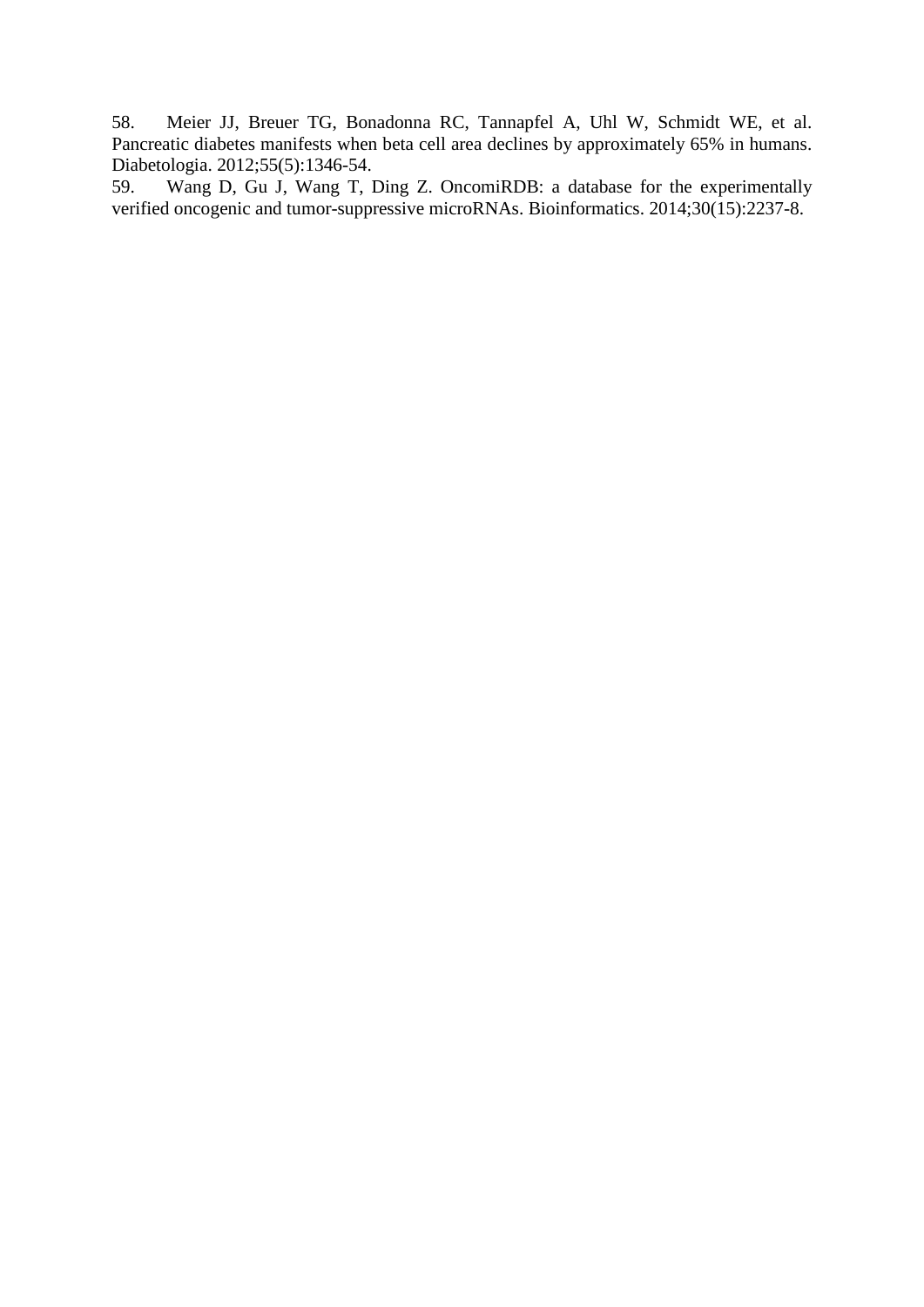<span id="page-20-0"></span>58. Meier JJ, Breuer TG, Bonadonna RC, Tannapfel A, Uhl W, Schmidt WE, et al. Pancreatic diabetes manifests when beta cell area declines by approximately 65% in humans. Diabetologia. 2012;55(5):1346-54.<br>59. Wang D, Gu J, Wang T, I

<span id="page-20-1"></span>Wang D, Gu J, Wang T, Ding Z. OncomiRDB: a database for the experimentally verified oncogenic and tumor-suppressive microRNAs. Bioinformatics. 2014;30(15):2237-8.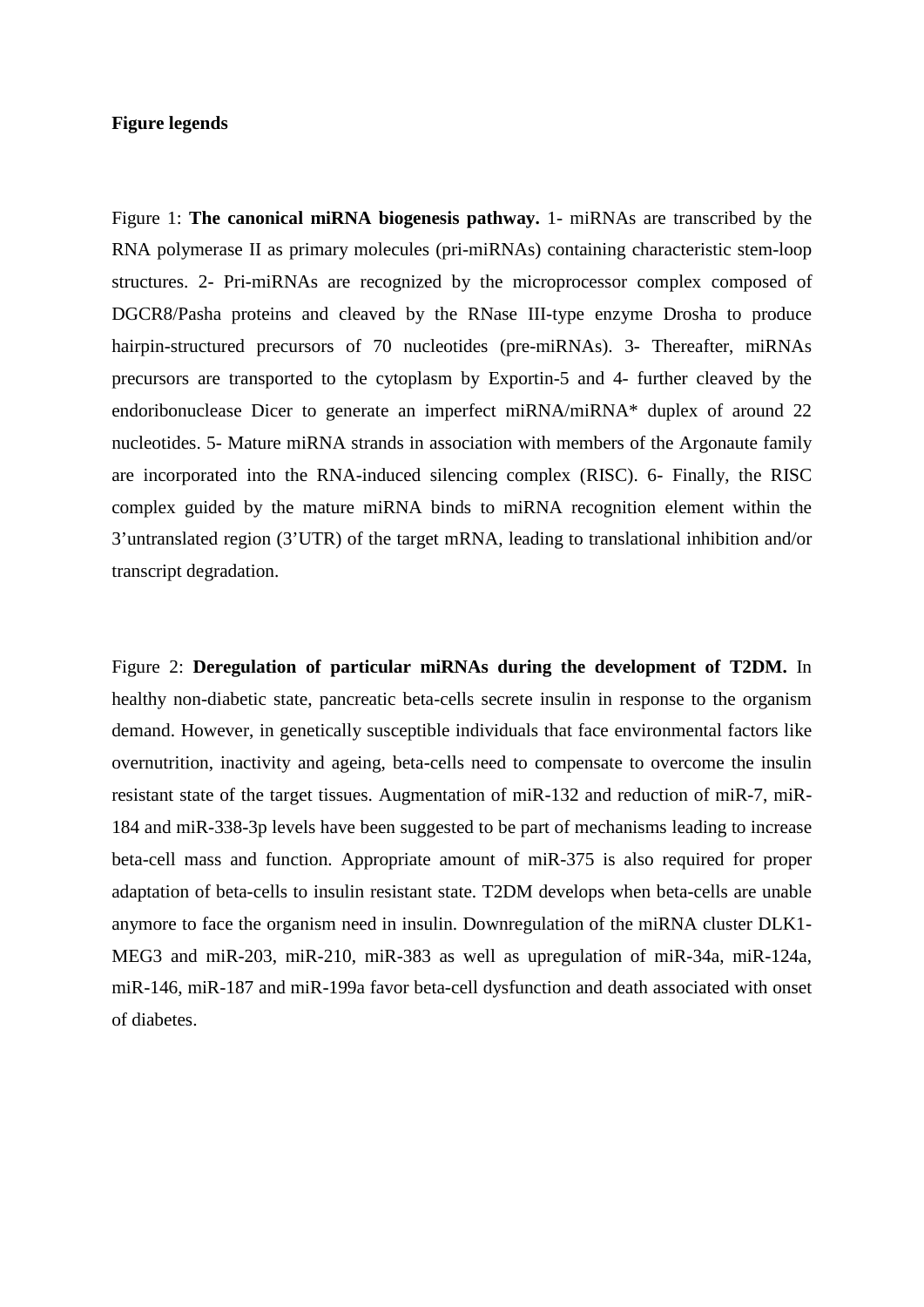#### **Figure legends**

Figure 1: **The canonical miRNA biogenesis pathway.** 1- miRNAs are transcribed by the RNA polymerase II as primary molecules (pri-miRNAs) containing characteristic stem-loop structures. 2- Pri-miRNAs are recognized by the microprocessor complex composed of DGCR8/Pasha proteins and cleaved by the RNase III-type enzyme Drosha to produce hairpin-structured precursors of 70 nucleotides (pre-miRNAs). 3- Thereafter, miRNAs precursors are transported to the cytoplasm by Exportin-5 and 4- further cleaved by the endoribonuclease Dicer to generate an imperfect miRNA/miRNA\* duplex of around 22 nucleotides. 5- Mature miRNA strands in association with members of the Argonaute family are incorporated into the RNA-induced silencing complex (RISC). 6- Finally, the RISC complex guided by the mature miRNA binds to miRNA recognition element within the 3'untranslated region (3'UTR) of the target mRNA, leading to translational inhibition and/or transcript degradation.

Figure 2: **Deregulation of particular miRNAs during the development of T2DM.** In healthy non-diabetic state, pancreatic beta-cells secrete insulin in response to the organism demand. However, in genetically susceptible individuals that face environmental factors like overnutrition, inactivity and ageing, beta-cells need to compensate to overcome the insulin resistant state of the target tissues. Augmentation of miR-132 and reduction of miR-7, miR-184 and miR-338-3p levels have been suggested to be part of mechanisms leading to increase beta-cell mass and function. Appropriate amount of miR-375 is also required for proper adaptation of beta-cells to insulin resistant state. T2DM develops when beta-cells are unable anymore to face the organism need in insulin. Downregulation of the miRNA cluster DLK1- MEG3 and miR-203, miR-210, miR-383 as well as upregulation of miR-34a, miR-124a, miR-146, miR-187 and miR-199a favor beta-cell dysfunction and death associated with onset of diabetes.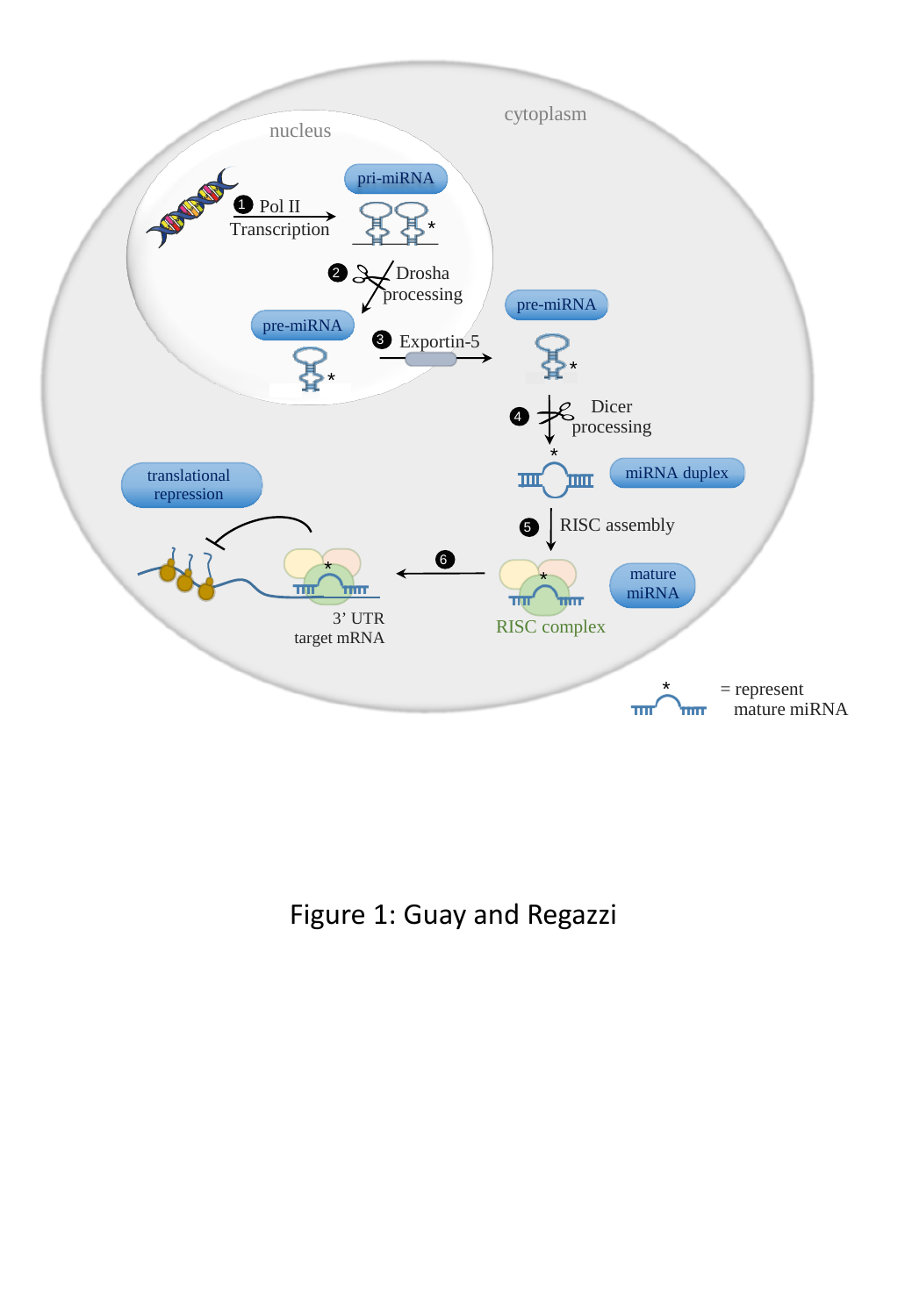

Figure 1: Guay and Regazzi